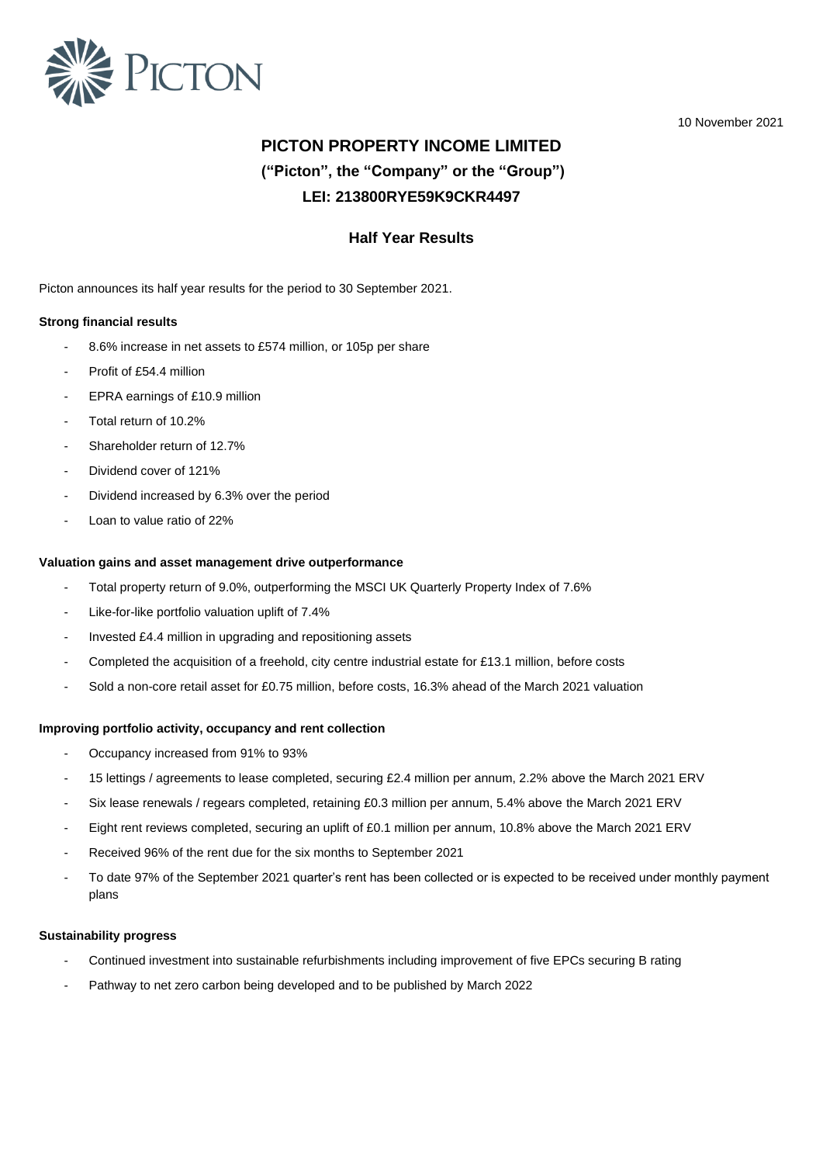

10 November 2021

# **PICTON PROPERTY INCOME LIMITED ("Picton", the "Company" or the "Group") LEI: 213800RYE59K9CKR4497**

## **Half Year Results**

Picton announces its half year results for the period to 30 September 2021.

### **Strong financial results**

- 8.6% increase in net assets to £574 million, or 105p per share
- Profit of £54.4 million
- EPRA earnings of £10.9 million
- Total return of 10.2%
- Shareholder return of 12.7%
- Dividend cover of 121%
- Dividend increased by 6.3% over the period
- Loan to value ratio of 22%

#### **Valuation gains and asset management drive outperformance**

- Total property return of 9.0%, outperforming the MSCI UK Quarterly Property Index of 7.6%
- Like-for-like portfolio valuation uplift of 7.4%
- Invested £4.4 million in upgrading and repositioning assets
- Completed the acquisition of a freehold, city centre industrial estate for £13.1 million, before costs
- Sold a non-core retail asset for £0.75 million, before costs, 16.3% ahead of the March 2021 valuation

#### **Improving portfolio activity, occupancy and rent collection**

- Occupancy increased from 91% to 93%
- 15 lettings / agreements to lease completed, securing £2.4 million per annum, 2.2% above the March 2021 ERV
- Six lease renewals / regears completed, retaining £0.3 million per annum, 5.4% above the March 2021 ERV
- Eight rent reviews completed, securing an uplift of £0.1 million per annum, 10.8% above the March 2021 ERV
- Received 96% of the rent due for the six months to September 2021
- To date 97% of the September 2021 quarter's rent has been collected or is expected to be received under monthly payment plans

#### **Sustainability progress**

- Continued investment into sustainable refurbishments including improvement of five EPCs securing B rating
- Pathway to net zero carbon being developed and to be published by March 2022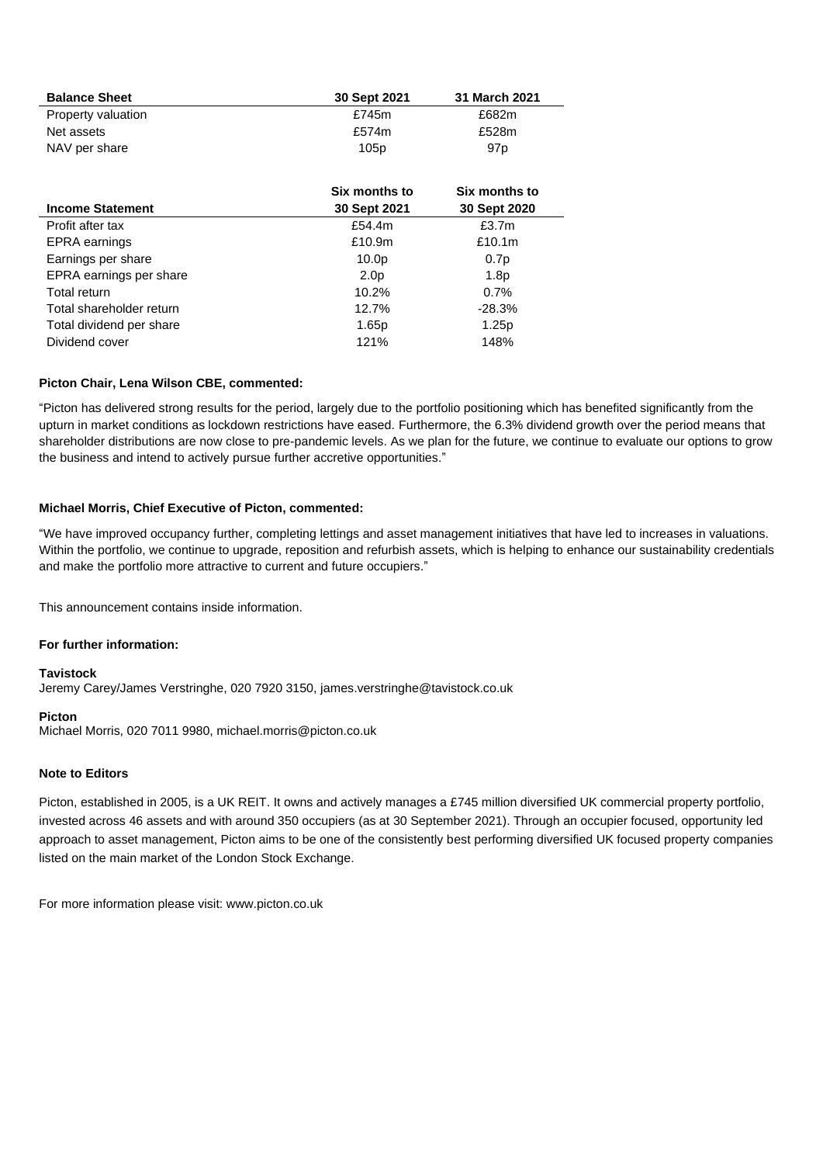| <b>Balance Sheet</b> | 30 Sept 2021 | 31 March 2021   |
|----------------------|--------------|-----------------|
| Property valuation   | £745m        | £682m           |
| Net assets           | £574m        | £528m           |
| NAV per share        | 105p         | 97 <sub>p</sub> |

| <b>Income Statement</b>  | Six months to<br>30 Sept 2021 | Six months to<br>30 Sept 2020 |
|--------------------------|-------------------------------|-------------------------------|
| Profit after tax         | £54.4m                        | £3.7m                         |
| <b>EPRA</b> earnings     | £10.9m                        | £10.1 $m$                     |
| Earnings per share       | 10.0 <sub>p</sub>             | 0.7p                          |
| EPRA earnings per share  | 2.0 <sub>p</sub>              | 1.8 <sub>p</sub>              |
| Total return             | $10.2\%$                      | 0.7%                          |
| Total shareholder return | 12.7%                         | $-28.3%$                      |
| Total dividend per share | 1.65p                         | 1.25p                         |
| Dividend cover           | 121%                          | 148%                          |

### **Picton Chair, Lena Wilson CBE, commented:**

"Picton has delivered strong results for the period, largely due to the portfolio positioning which has benefited significantly from the upturn in market conditions as lockdown restrictions have eased. Furthermore, the 6.3% dividend growth over the period means that shareholder distributions are now close to pre-pandemic levels. As we plan for the future, we continue to evaluate our options to grow the business and intend to actively pursue further accretive opportunities."

#### **Michael Morris, Chief Executive of Picton, commented:**

"We have improved occupancy further, completing lettings and asset management initiatives that have led to increases in valuations. Within the portfolio, we continue to upgrade, reposition and refurbish assets, which is helping to enhance our sustainability credentials and make the portfolio more attractive to current and future occupiers."

This announcement contains inside information.

## **For further information:**

### **Tavistock**

Jeremy Carey/James Verstringhe, 020 7920 3150, james.verstringhe@tavistock.co.uk

#### **Picton**

Michael Morris, 020 7011 9980, michael.morris@picton.co.uk

### **Note to Editors**

Picton, established in 2005, is a UK REIT. It owns and actively manages a £745 million diversified UK commercial property portfolio, invested across 46 assets and with around 350 occupiers (as at 30 September 2021). Through an occupier focused, opportunity led approach to asset management, Picton aims to be one of the consistently best performing diversified UK focused property companies listed on the main market of the London Stock Exchange.

For more information please visit: www.picton.co.uk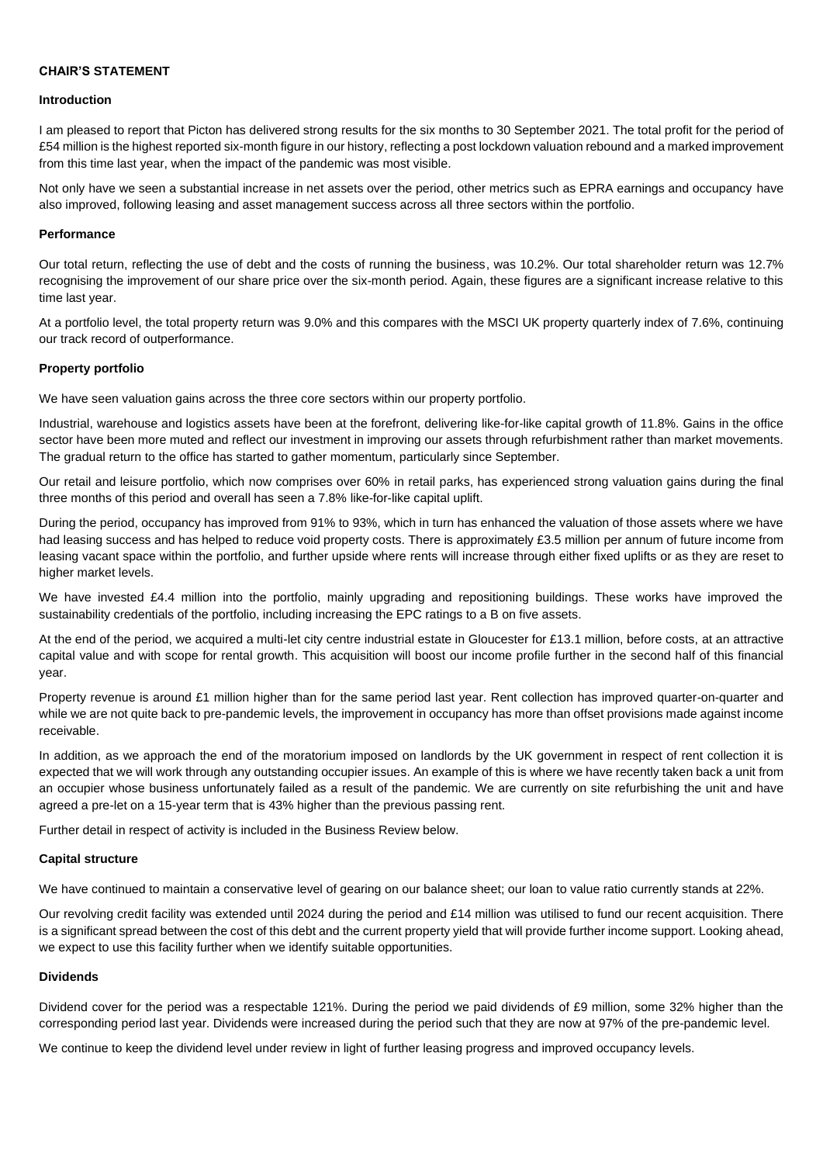### **CHAIR'S STATEMENT**

#### **Introduction**

I am pleased to report that Picton has delivered strong results for the six months to 30 September 2021. The total profit for the period of £54 million is the highest reported six-month figure in our history, reflecting a post lockdown valuation rebound and a marked improvement from this time last year, when the impact of the pandemic was most visible.

Not only have we seen a substantial increase in net assets over the period, other metrics such as EPRA earnings and occupancy have also improved, following leasing and asset management success across all three sectors within the portfolio.

#### **Performance**

Our total return, reflecting the use of debt and the costs of running the business, was 10.2%. Our total shareholder return was 12.7% recognising the improvement of our share price over the six-month period. Again, these figures are a significant increase relative to this time last year.

At a portfolio level, the total property return was 9.0% and this compares with the MSCI UK property quarterly index of 7.6%, continuing our track record of outperformance.

#### **Property portfolio**

We have seen valuation gains across the three core sectors within our property portfolio.

Industrial, warehouse and logistics assets have been at the forefront, delivering like-for-like capital growth of 11.8%. Gains in the office sector have been more muted and reflect our investment in improving our assets through refurbishment rather than market movements. The gradual return to the office has started to gather momentum, particularly since September.

Our retail and leisure portfolio, which now comprises over 60% in retail parks, has experienced strong valuation gains during the final three months of this period and overall has seen a 7.8% like-for-like capital uplift.

During the period, occupancy has improved from 91% to 93%, which in turn has enhanced the valuation of those assets where we have had leasing success and has helped to reduce void property costs. There is approximately £3.5 million per annum of future income from leasing vacant space within the portfolio, and further upside where rents will increase through either fixed uplifts or as they are reset to higher market levels.

We have invested £4.4 million into the portfolio, mainly upgrading and repositioning buildings. These works have improved the sustainability credentials of the portfolio, including increasing the EPC ratings to a B on five assets.

At the end of the period, we acquired a multi-let city centre industrial estate in Gloucester for £13.1 million, before costs, at an attractive capital value and with scope for rental growth. This acquisition will boost our income profile further in the second half of this financial year.

Property revenue is around £1 million higher than for the same period last year. Rent collection has improved quarter-on-quarter and while we are not quite back to pre-pandemic levels, the improvement in occupancy has more than offset provisions made against income receivable.

In addition, as we approach the end of the moratorium imposed on landlords by the UK government in respect of rent collection it is expected that we will work through any outstanding occupier issues. An example of this is where we have recently taken back a unit from an occupier whose business unfortunately failed as a result of the pandemic. We are currently on site refurbishing the unit and have agreed a pre-let on a 15-year term that is 43% higher than the previous passing rent.

Further detail in respect of activity is included in the Business Review below.

#### **Capital structure**

We have continued to maintain a conservative level of gearing on our balance sheet; our loan to value ratio currently stands at 22%.

Our revolving credit facility was extended until 2024 during the period and £14 million was utilised to fund our recent acquisition. There is a significant spread between the cost of this debt and the current property yield that will provide further income support. Looking ahead, we expect to use this facility further when we identify suitable opportunities.

#### **Dividends**

Dividend cover for the period was a respectable 121%. During the period we paid dividends of £9 million, some 32% higher than the corresponding period last year. Dividends were increased during the period such that they are now at 97% of the pre-pandemic level.

We continue to keep the dividend level under review in light of further leasing progress and improved occupancy levels.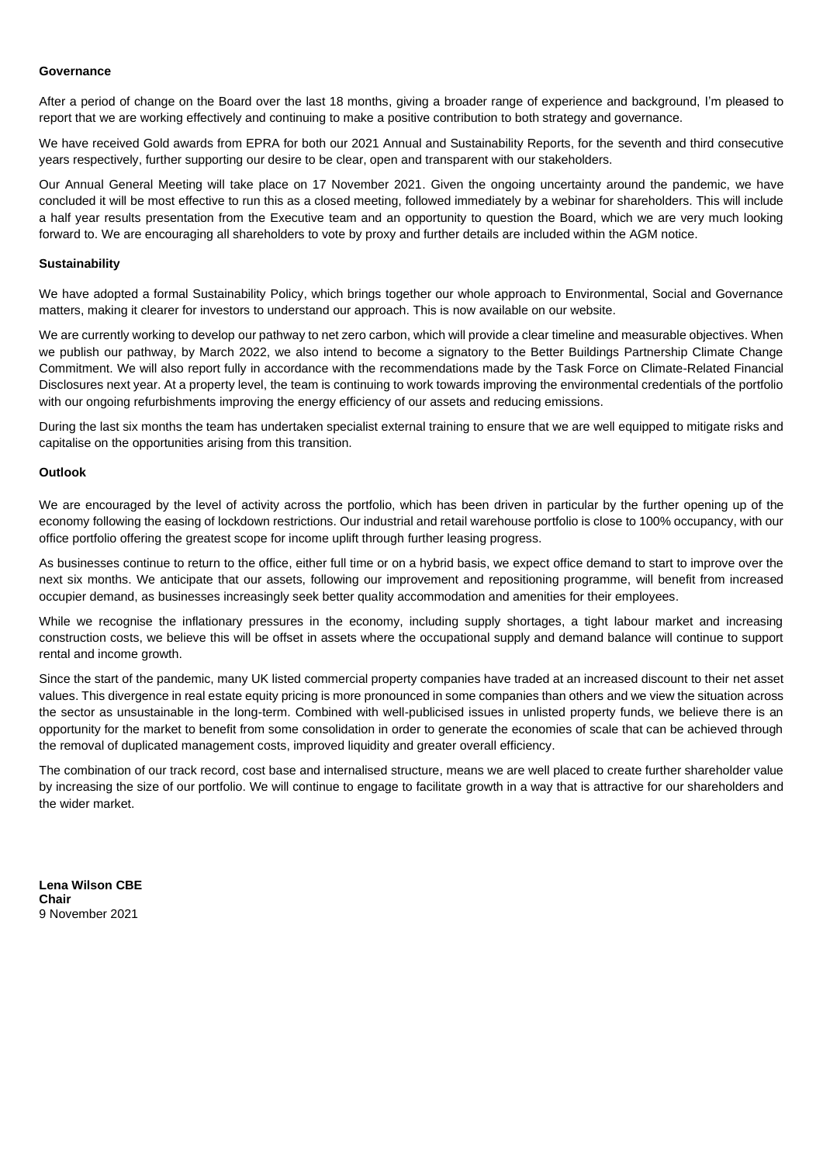### **Governance**

After a period of change on the Board over the last 18 months, giving a broader range of experience and background, I'm pleased to report that we are working effectively and continuing to make a positive contribution to both strategy and governance.

We have received Gold awards from EPRA for both our 2021 Annual and Sustainability Reports, for the seventh and third consecutive years respectively, further supporting our desire to be clear, open and transparent with our stakeholders.

Our Annual General Meeting will take place on 17 November 2021. Given the ongoing uncertainty around the pandemic, we have concluded it will be most effective to run this as a closed meeting, followed immediately by a webinar for shareholders. This will include a half year results presentation from the Executive team and an opportunity to question the Board, which we are very much looking forward to. We are encouraging all shareholders to vote by proxy and further details are included within the AGM notice.

#### **Sustainability**

We have adopted a formal Sustainability Policy, which brings together our whole approach to Environmental, Social and Governance matters, making it clearer for investors to understand our approach. This is now available on our website.

We are currently working to develop our pathway to net zero carbon, which will provide a clear timeline and measurable objectives. When we publish our pathway, by March 2022, we also intend to become a signatory to the Better Buildings Partnership Climate Change Commitment. We will also report fully in accordance with the recommendations made by the Task Force on Climate-Related Financial Disclosures next year. At a property level, the team is continuing to work towards improving the environmental credentials of the portfolio with our ongoing refurbishments improving the energy efficiency of our assets and reducing emissions.

During the last six months the team has undertaken specialist external training to ensure that we are well equipped to mitigate risks and capitalise on the opportunities arising from this transition.

#### **Outlook**

We are encouraged by the level of activity across the portfolio, which has been driven in particular by the further opening up of the economy following the easing of lockdown restrictions. Our industrial and retail warehouse portfolio is close to 100% occupancy, with our office portfolio offering the greatest scope for income uplift through further leasing progress.

As businesses continue to return to the office, either full time or on a hybrid basis, we expect office demand to start to improve over the next six months. We anticipate that our assets, following our improvement and repositioning programme, will benefit from increased occupier demand, as businesses increasingly seek better quality accommodation and amenities for their employees.

While we recognise the inflationary pressures in the economy, including supply shortages, a tight labour market and increasing construction costs, we believe this will be offset in assets where the occupational supply and demand balance will continue to support rental and income growth.

Since the start of the pandemic, many UK listed commercial property companies have traded at an increased discount to their net asset values. This divergence in real estate equity pricing is more pronounced in some companies than others and we view the situation across the sector as unsustainable in the long-term. Combined with well-publicised issues in unlisted property funds, we believe there is an opportunity for the market to benefit from some consolidation in order to generate the economies of scale that can be achieved through the removal of duplicated management costs, improved liquidity and greater overall efficiency.

The combination of our track record, cost base and internalised structure, means we are well placed to create further shareholder value by increasing the size of our portfolio. We will continue to engage to facilitate growth in a way that is attractive for our shareholders and the wider market.

**Lena Wilson CBE Chair** 9 November 2021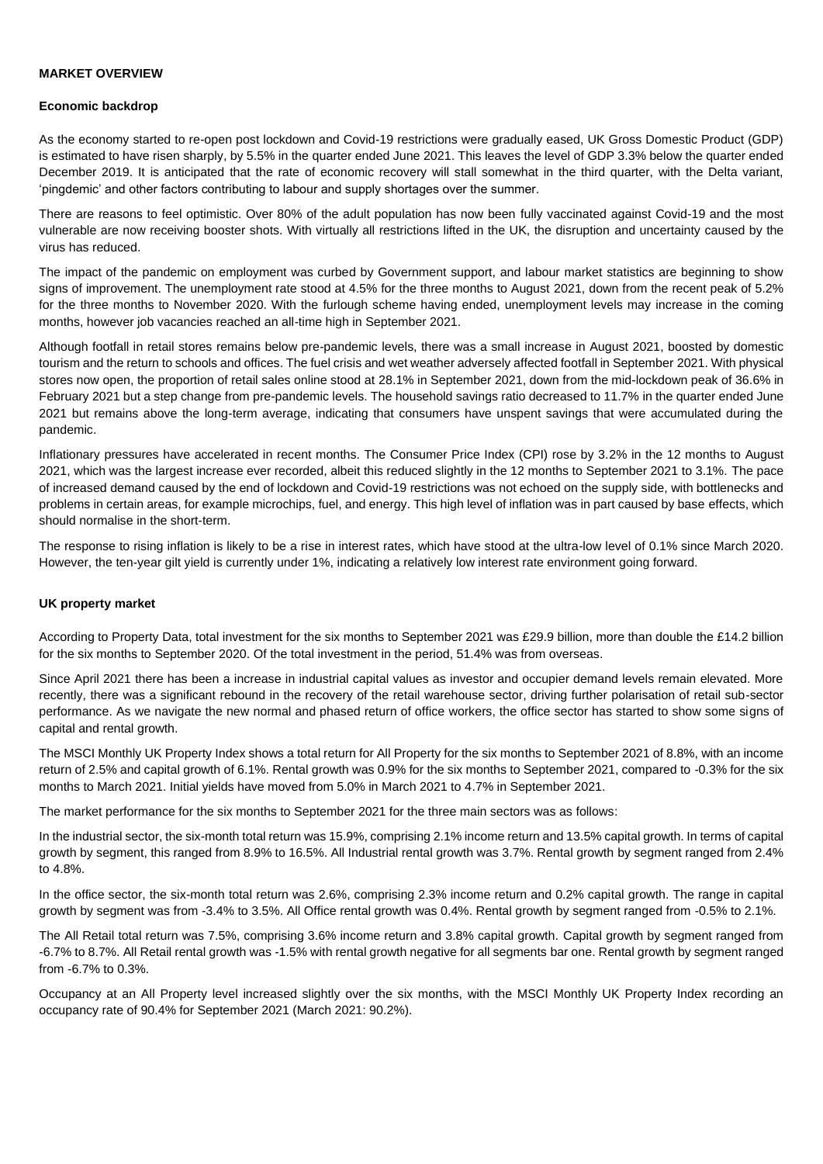#### **MARKET OVERVIEW**

#### **Economic backdrop**

As the economy started to re-open post lockdown and Covid-19 restrictions were gradually eased, UK Gross Domestic Product (GDP) is estimated to have risen sharply, by 5.5% in the quarter ended June 2021. This leaves the level of GDP 3.3% below the quarter ended December 2019. It is anticipated that the rate of economic recovery will stall somewhat in the third quarter, with the Delta variant, 'pingdemic' and other factors contributing to labour and supply shortages over the summer.

There are reasons to feel optimistic. Over 80% of the adult population has now been fully vaccinated against Covid-19 and the most vulnerable are now receiving booster shots. With virtually all restrictions lifted in the UK, the disruption and uncertainty caused by the virus has reduced.

The impact of the pandemic on employment was curbed by Government support, and labour market statistics are beginning to show signs of improvement. The unemployment rate stood at 4.5% for the three months to August 2021, down from the recent peak of 5.2% for the three months to November 2020. With the furlough scheme having ended, unemployment levels may increase in the coming months, however job vacancies reached an all-time high in September 2021.

Although footfall in retail stores remains below pre-pandemic levels, there was a small increase in August 2021, boosted by domestic tourism and the return to schools and offices. The fuel crisis and wet weather adversely affected footfall in September 2021. With physical stores now open, the proportion of retail sales online stood at 28.1% in September 2021, down from the mid-lockdown peak of 36.6% in February 2021 but a step change from pre-pandemic levels. The household savings ratio decreased to 11.7% in the quarter ended June 2021 but remains above the long-term average, indicating that consumers have unspent savings that were accumulated during the pandemic.

Inflationary pressures have accelerated in recent months. The Consumer Price Index (CPI) rose by 3.2% in the 12 months to August 2021, which was the largest increase ever recorded, albeit this reduced slightly in the 12 months to September 2021 to 3.1%. The pace of increased demand caused by the end of lockdown and Covid-19 restrictions was not echoed on the supply side, with bottlenecks and problems in certain areas, for example microchips, fuel, and energy. This high level of inflation was in part caused by base effects, which should normalise in the short-term.

The response to rising inflation is likely to be a rise in interest rates, which have stood at the ultra-low level of 0.1% since March 2020. However, the ten-year gilt yield is currently under 1%, indicating a relatively low interest rate environment going forward.

#### **UK property market**

According to Property Data, total investment for the six months to September 2021 was £29.9 billion, more than double the £14.2 billion for the six months to September 2020. Of the total investment in the period, 51.4% was from overseas.

Since April 2021 there has been a increase in industrial capital values as investor and occupier demand levels remain elevated. More recently, there was a significant rebound in the recovery of the retail warehouse sector, driving further polarisation of retail sub-sector performance. As we navigate the new normal and phased return of office workers, the office sector has started to show some signs of capital and rental growth.

The MSCI Monthly UK Property Index shows a total return for All Property for the six months to September 2021 of 8.8%, with an income return of 2.5% and capital growth of 6.1%. Rental growth was 0.9% for the six months to September 2021, compared to -0.3% for the six months to March 2021. Initial yields have moved from 5.0% in March 2021 to 4.7% in September 2021.

The market performance for the six months to September 2021 for the three main sectors was as follows:

In the industrial sector, the six-month total return was 15.9%, comprising 2.1% income return and 13.5% capital growth. In terms of capital growth by segment, this ranged from 8.9% to 16.5%. All Industrial rental growth was 3.7%. Rental growth by segment ranged from 2.4% to 4.8%.

In the office sector, the six-month total return was 2.6%, comprising 2.3% income return and 0.2% capital growth. The range in capital growth by segment was from -3.4% to 3.5%. All Office rental growth was 0.4%. Rental growth by segment ranged from -0.5% to 2.1%.

The All Retail total return was 7.5%, comprising 3.6% income return and 3.8% capital growth. Capital growth by segment ranged from -6.7% to 8.7%. All Retail rental growth was -1.5% with rental growth negative for all segments bar one. Rental growth by segment ranged from -6.7% to 0.3%.

Occupancy at an All Property level increased slightly over the six months, with the MSCI Monthly UK Property Index recording an occupancy rate of 90.4% for September 2021 (March 2021: 90.2%).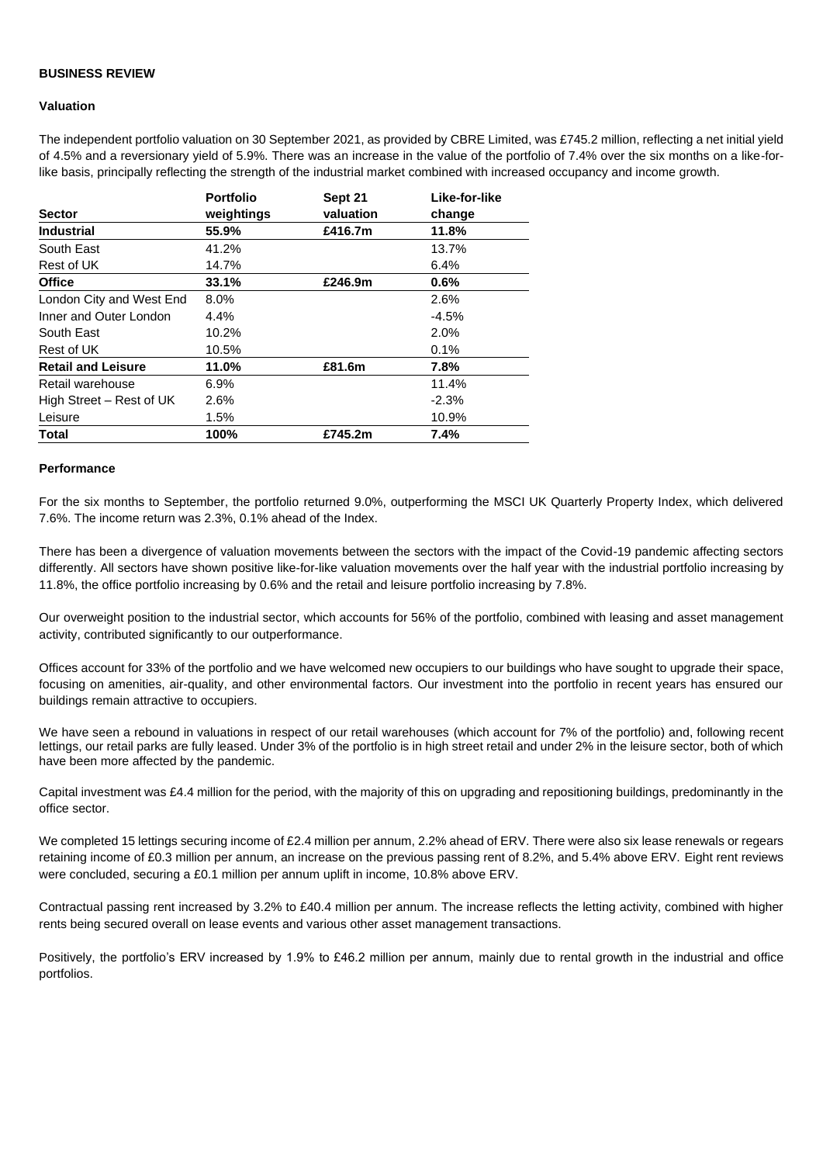### **BUSINESS REVIEW**

#### **Valuation**

The independent portfolio valuation on 30 September 2021, as provided by CBRE Limited, was £745.2 million, reflecting a net initial yield of 4.5% and a reversionary yield of 5.9%. There was an increase in the value of the portfolio of 7.4% over the six months on a like-forlike basis, principally reflecting the strength of the industrial market combined with increased occupancy and income growth.

|                           | <b>Portfolio</b> | Sept 21   | Like-for-like |
|---------------------------|------------------|-----------|---------------|
| <b>Sector</b>             | weightings       | valuation | change        |
| <b>Industrial</b>         | 55.9%            | £416.7m   | 11.8%         |
| South East                | 41.2%            |           | 13.7%         |
| Rest of UK                | 14.7%            |           | 6.4%          |
| <b>Office</b>             | 33.1%            | £246.9m   | 0.6%          |
| London City and West End  | 8.0%             |           | 2.6%          |
| Inner and Outer London    | 4.4%             |           | $-4.5%$       |
| South East                | 10.2%            |           | 2.0%          |
| Rest of UK                | 10.5%            |           | 0.1%          |
| <b>Retail and Leisure</b> | 11.0%            | £81.6m    | 7.8%          |
| Retail warehouse          | $6.9\%$          |           | 11.4%         |
| High Street – Rest of UK  | 2.6%             |           | $-2.3%$       |
| Leisure                   | 1.5%             |           | 10.9%         |
| <b>Total</b>              | 100%             | £745.2m   | 7.4%          |

#### **Performance**

For the six months to September, the portfolio returned 9.0%, outperforming the MSCI UK Quarterly Property Index, which delivered 7.6%. The income return was 2.3%, 0.1% ahead of the Index.

There has been a divergence of valuation movements between the sectors with the impact of the Covid-19 pandemic affecting sectors differently. All sectors have shown positive like-for-like valuation movements over the half year with the industrial portfolio increasing by 11.8%, the office portfolio increasing by 0.6% and the retail and leisure portfolio increasing by 7.8%.

Our overweight position to the industrial sector, which accounts for 56% of the portfolio, combined with leasing and asset management activity, contributed significantly to our outperformance.

Offices account for 33% of the portfolio and we have welcomed new occupiers to our buildings who have sought to upgrade their space, focusing on amenities, air-quality, and other environmental factors. Our investment into the portfolio in recent years has ensured our buildings remain attractive to occupiers.

We have seen a rebound in valuations in respect of our retail warehouses (which account for 7% of the portfolio) and, following recent lettings, our retail parks are fully leased. Under 3% of the portfolio is in high street retail and under 2% in the leisure sector, both of which have been more affected by the pandemic.

Capital investment was £4.4 million for the period, with the majority of this on upgrading and repositioning buildings, predominantly in the office sector.

We completed 15 lettings securing income of £2.4 million per annum, 2.2% ahead of ERV. There were also six lease renewals or regears retaining income of £0.3 million per annum, an increase on the previous passing rent of 8.2%, and 5.4% above ERV. Eight rent reviews were concluded, securing a £0.1 million per annum uplift in income, 10.8% above ERV.

Contractual passing rent increased by 3.2% to £40.4 million per annum. The increase reflects the letting activity, combined with higher rents being secured overall on lease events and various other asset management transactions.

Positively, the portfolio's ERV increased by 1.9% to £46.2 million per annum, mainly due to rental growth in the industrial and office portfolios.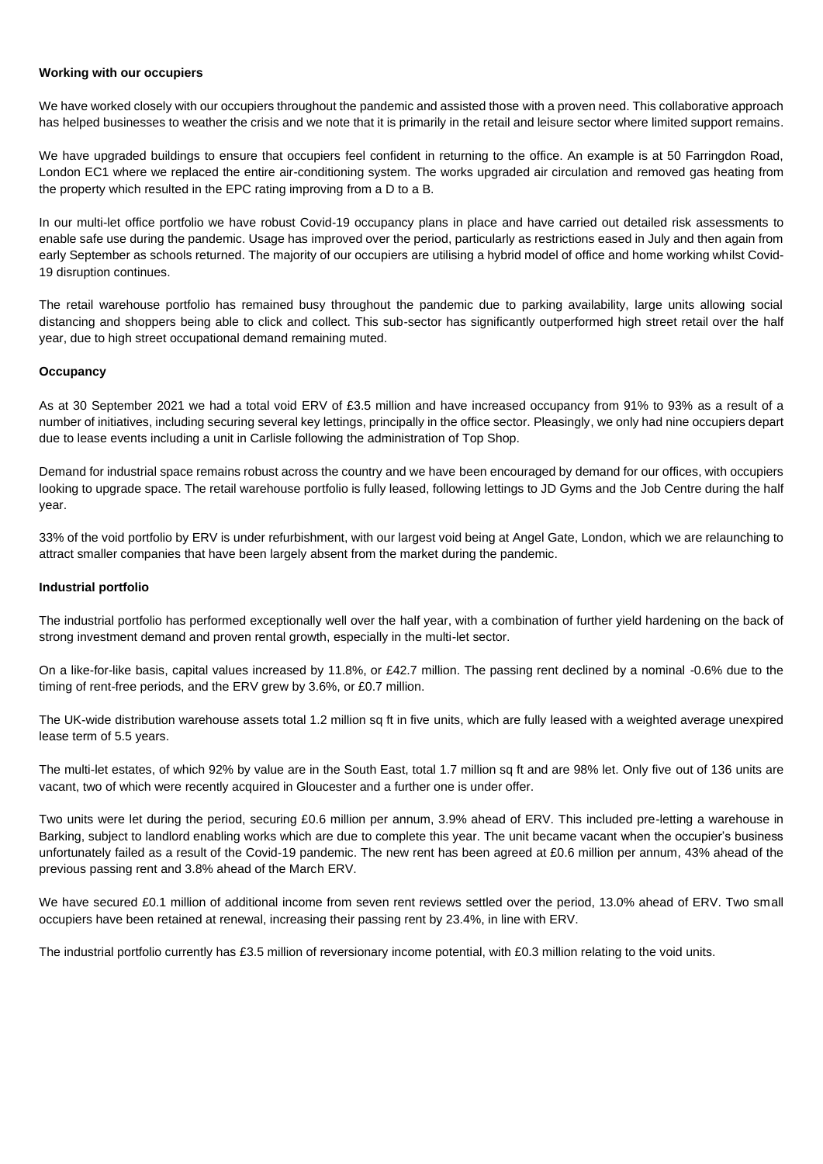#### **Working with our occupiers**

We have worked closely with our occupiers throughout the pandemic and assisted those with a proven need. This collaborative approach has helped businesses to weather the crisis and we note that it is primarily in the retail and leisure sector where limited support remains.

We have upgraded buildings to ensure that occupiers feel confident in returning to the office. An example is at 50 Farringdon Road, London EC1 where we replaced the entire air-conditioning system. The works upgraded air circulation and removed gas heating from the property which resulted in the EPC rating improving from a D to a B.

In our multi-let office portfolio we have robust Covid-19 occupancy plans in place and have carried out detailed risk assessments to enable safe use during the pandemic. Usage has improved over the period, particularly as restrictions eased in July and then again from early September as schools returned. The majority of our occupiers are utilising a hybrid model of office and home working whilst Covid-19 disruption continues.

The retail warehouse portfolio has remained busy throughout the pandemic due to parking availability, large units allowing social distancing and shoppers being able to click and collect. This sub-sector has significantly outperformed high street retail over the half year, due to high street occupational demand remaining muted.

#### **Occupancy**

As at 30 September 2021 we had a total void ERV of £3.5 million and have increased occupancy from 91% to 93% as a result of a number of initiatives, including securing several key lettings, principally in the office sector. Pleasingly, we only had nine occupiers depart due to lease events including a unit in Carlisle following the administration of Top Shop.

Demand for industrial space remains robust across the country and we have been encouraged by demand for our offices, with occupiers looking to upgrade space. The retail warehouse portfolio is fully leased, following lettings to JD Gyms and the Job Centre during the half year.

33% of the void portfolio by ERV is under refurbishment, with our largest void being at Angel Gate, London, which we are relaunching to attract smaller companies that have been largely absent from the market during the pandemic.

#### **Industrial portfolio**

The industrial portfolio has performed exceptionally well over the half year, with a combination of further yield hardening on the back of strong investment demand and proven rental growth, especially in the multi-let sector.

On a like-for-like basis, capital values increased by 11.8%, or £42.7 million. The passing rent declined by a nominal -0.6% due to the timing of rent-free periods, and the ERV grew by 3.6%, or £0.7 million.

The UK-wide distribution warehouse assets total 1.2 million sq ft in five units, which are fully leased with a weighted average unexpired lease term of 5.5 years.

The multi-let estates, of which 92% by value are in the South East, total 1.7 million sq ft and are 98% let. Only five out of 136 units are vacant, two of which were recently acquired in Gloucester and a further one is under offer.

Two units were let during the period, securing £0.6 million per annum, 3.9% ahead of ERV. This included pre-letting a warehouse in Barking, subject to landlord enabling works which are due to complete this year. The unit became vacant when the occupier's business unfortunately failed as a result of the Covid-19 pandemic. The new rent has been agreed at £0.6 million per annum, 43% ahead of the previous passing rent and 3.8% ahead of the March ERV.

We have secured £0.1 million of additional income from seven rent reviews settled over the period, 13.0% ahead of ERV. Two small occupiers have been retained at renewal, increasing their passing rent by 23.4%, in line with ERV.

The industrial portfolio currently has £3.5 million of reversionary income potential, with £0.3 million relating to the void units.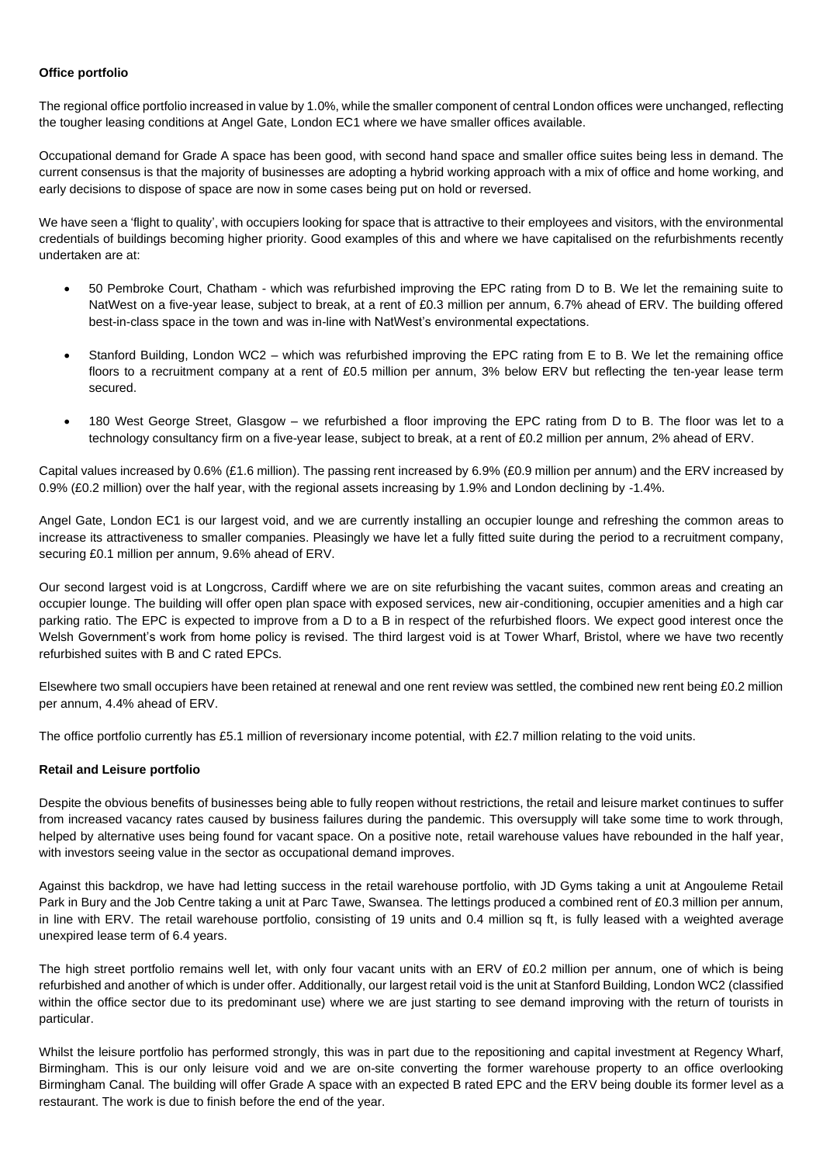### **Office portfolio**

The regional office portfolio increased in value by 1.0%, while the smaller component of central London offices were unchanged, reflecting the tougher leasing conditions at Angel Gate, London EC1 where we have smaller offices available.

Occupational demand for Grade A space has been good, with second hand space and smaller office suites being less in demand. The current consensus is that the majority of businesses are adopting a hybrid working approach with a mix of office and home working, and early decisions to dispose of space are now in some cases being put on hold or reversed.

We have seen a 'flight to quality', with occupiers looking for space that is attractive to their employees and visitors, with the environmental credentials of buildings becoming higher priority. Good examples of this and where we have capitalised on the refurbishments recently undertaken are at:

- 50 Pembroke Court, Chatham which was refurbished improving the EPC rating from D to B. We let the remaining suite to NatWest on a five-year lease, subject to break, at a rent of £0.3 million per annum, 6.7% ahead of ERV. The building offered best-in-class space in the town and was in-line with NatWest's environmental expectations.
- Stanford Building, London WC2 which was refurbished improving the EPC rating from E to B. We let the remaining office floors to a recruitment company at a rent of £0.5 million per annum, 3% below ERV but reflecting the ten-year lease term secured.
- 180 West George Street, Glasgow we refurbished a floor improving the EPC rating from D to B. The floor was let to a technology consultancy firm on a five-year lease, subject to break, at a rent of £0.2 million per annum, 2% ahead of ERV.

Capital values increased by 0.6% (£1.6 million). The passing rent increased by 6.9% (£0.9 million per annum) and the ERV increased by 0.9% (£0.2 million) over the half year, with the regional assets increasing by 1.9% and London declining by -1.4%.

Angel Gate, London EC1 is our largest void, and we are currently installing an occupier lounge and refreshing the common areas to increase its attractiveness to smaller companies. Pleasingly we have let a fully fitted suite during the period to a recruitment company, securing £0.1 million per annum, 9.6% ahead of ERV.

Our second largest void is at Longcross, Cardiff where we are on site refurbishing the vacant suites, common areas and creating an occupier lounge. The building will offer open plan space with exposed services, new air-conditioning, occupier amenities and a high car parking ratio. The EPC is expected to improve from a D to a B in respect of the refurbished floors. We expect good interest once the Welsh Government's work from home policy is revised. The third largest void is at Tower Wharf, Bristol, where we have two recently refurbished suites with B and C rated EPCs.

Elsewhere two small occupiers have been retained at renewal and one rent review was settled, the combined new rent being £0.2 million per annum, 4.4% ahead of ERV.

The office portfolio currently has £5.1 million of reversionary income potential, with £2.7 million relating to the void units.

## **Retail and Leisure portfolio**

Despite the obvious benefits of businesses being able to fully reopen without restrictions, the retail and leisure market continues to suffer from increased vacancy rates caused by business failures during the pandemic. This oversupply will take some time to work through, helped by alternative uses being found for vacant space. On a positive note, retail warehouse values have rebounded in the half year, with investors seeing value in the sector as occupational demand improves.

Against this backdrop, we have had letting success in the retail warehouse portfolio, with JD Gyms taking a unit at Angouleme Retail Park in Bury and the Job Centre taking a unit at Parc Tawe, Swansea. The lettings produced a combined rent of £0.3 million per annum, in line with ERV. The retail warehouse portfolio, consisting of 19 units and 0.4 million sq ft, is fully leased with a weighted average unexpired lease term of 6.4 years.

The high street portfolio remains well let, with only four vacant units with an ERV of £0.2 million per annum, one of which is being refurbished and another of which is under offer. Additionally, our largest retail void is the unit at Stanford Building, London WC2 (classified within the office sector due to its predominant use) where we are just starting to see demand improving with the return of tourists in particular.

Whilst the leisure portfolio has performed strongly, this was in part due to the repositioning and capital investment at Regency Wharf, Birmingham. This is our only leisure void and we are on-site converting the former warehouse property to an office overlooking Birmingham Canal. The building will offer Grade A space with an expected B rated EPC and the ERV being double its former level as a restaurant. The work is due to finish before the end of the year.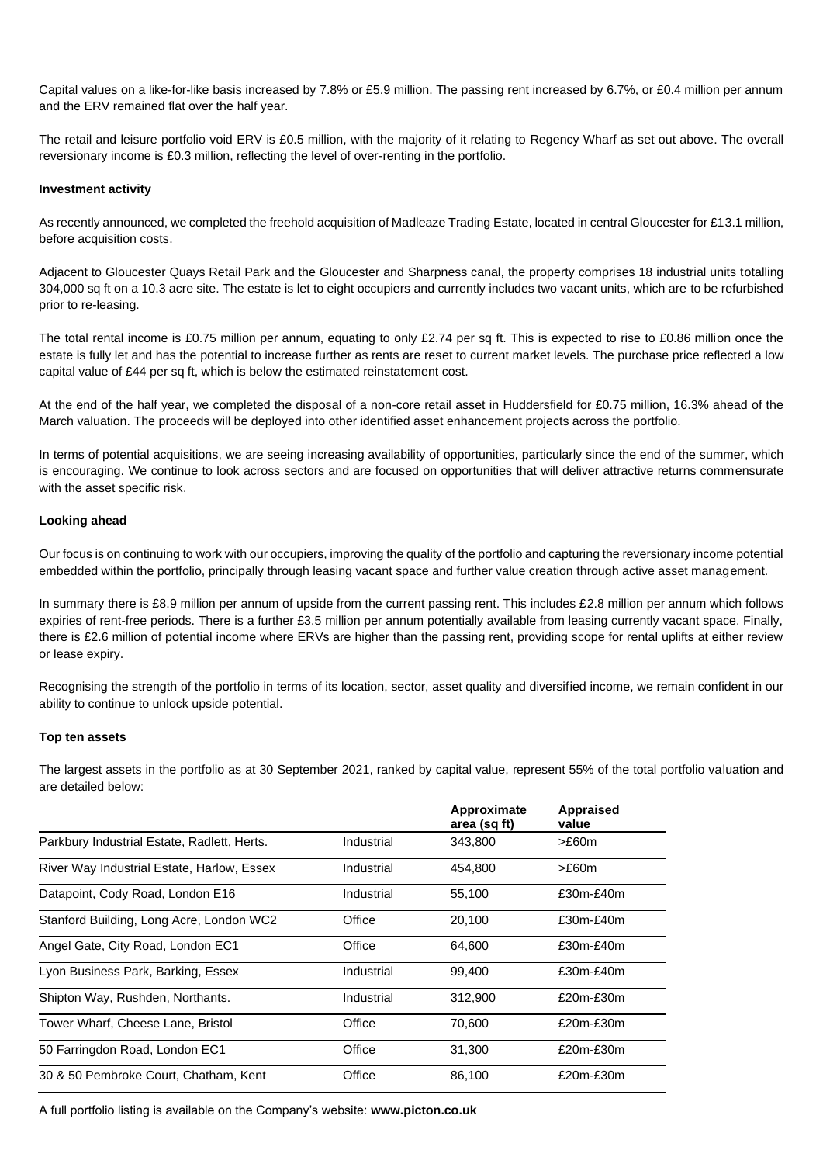Capital values on a like-for-like basis increased by 7.8% or £5.9 million. The passing rent increased by 6.7%, or £0.4 million per annum and the ERV remained flat over the half year.

The retail and leisure portfolio void ERV is £0.5 million, with the majority of it relating to Regency Wharf as set out above. The overall reversionary income is £0.3 million, reflecting the level of over-renting in the portfolio.

#### **Investment activity**

As recently announced, we completed the freehold acquisition of Madleaze Trading Estate, located in central Gloucester for £13.1 million, before acquisition costs.

Adjacent to Gloucester Quays Retail Park and the Gloucester and Sharpness canal, the property comprises 18 industrial units totalling 304,000 sq ft on a 10.3 acre site. The estate is let to eight occupiers and currently includes two vacant units, which are to be refurbished prior to re-leasing.

The total rental income is £0.75 million per annum, equating to only £2.74 per sq ft. This is expected to rise to £0.86 million once the estate is fully let and has the potential to increase further as rents are reset to current market levels. The purchase price reflected a low capital value of £44 per sq ft, which is below the estimated reinstatement cost.

At the end of the half year, we completed the disposal of a non-core retail asset in Huddersfield for £0.75 million, 16.3% ahead of the March valuation. The proceeds will be deployed into other identified asset enhancement projects across the portfolio.

In terms of potential acquisitions, we are seeing increasing availability of opportunities, particularly since the end of the summer, which is encouraging. We continue to look across sectors and are focused on opportunities that will deliver attractive returns commensurate with the asset specific risk.

#### **Looking ahead**

Our focus is on continuing to work with our occupiers, improving the quality of the portfolio and capturing the reversionary income potential embedded within the portfolio, principally through leasing vacant space and further value creation through active asset management.

In summary there is £8.9 million per annum of upside from the current passing rent. This includes £2.8 million per annum which follows expiries of rent-free periods. There is a further £3.5 million per annum potentially available from leasing currently vacant space. Finally, there is £2.6 million of potential income where ERVs are higher than the passing rent, providing scope for rental uplifts at either review or lease expiry.

Recognising the strength of the portfolio in terms of its location, sector, asset quality and diversified income, we remain confident in our ability to continue to unlock upside potential.

#### **Top ten assets**

The largest assets in the portfolio as at 30 September 2021, ranked by capital value, represent 55% of the total portfolio valuation and are detailed below:

|                                             |            | Approximate<br>area (sq ft) | Appraised<br>value |
|---------------------------------------------|------------|-----------------------------|--------------------|
| Parkbury Industrial Estate, Radlett, Herts. | Industrial | 343,800                     | >£60m              |
| River Way Industrial Estate, Harlow, Essex  | Industrial | 454.800                     | >£60m              |
| Datapoint, Cody Road, London E16            | Industrial | 55,100                      | $£30m-E40m$        |
| Stanford Building, Long Acre, London WC2    | Office     | 20,100                      | $£30m-E40m$        |
| Angel Gate, City Road, London EC1           | Office     | 64,600                      | $£30m-E40m$        |
| Lyon Business Park, Barking, Essex          | Industrial | 99,400                      | $£30m-E40m$        |
| Shipton Way, Rushden, Northants.            | Industrial | 312,900                     | $£20m-E30m$        |
| Tower Wharf, Cheese Lane, Bristol           | Office     | 70.600                      | $£20m-E30m$        |
| 50 Farringdon Road, London EC1              | Office     | 31,300                      | $£20m-E30m$        |
| 30 & 50 Pembroke Court, Chatham, Kent       | Office     | 86,100                      | $£20m-E30m$        |

A full portfolio listing is available on the Company's website: **www.picton.co.uk**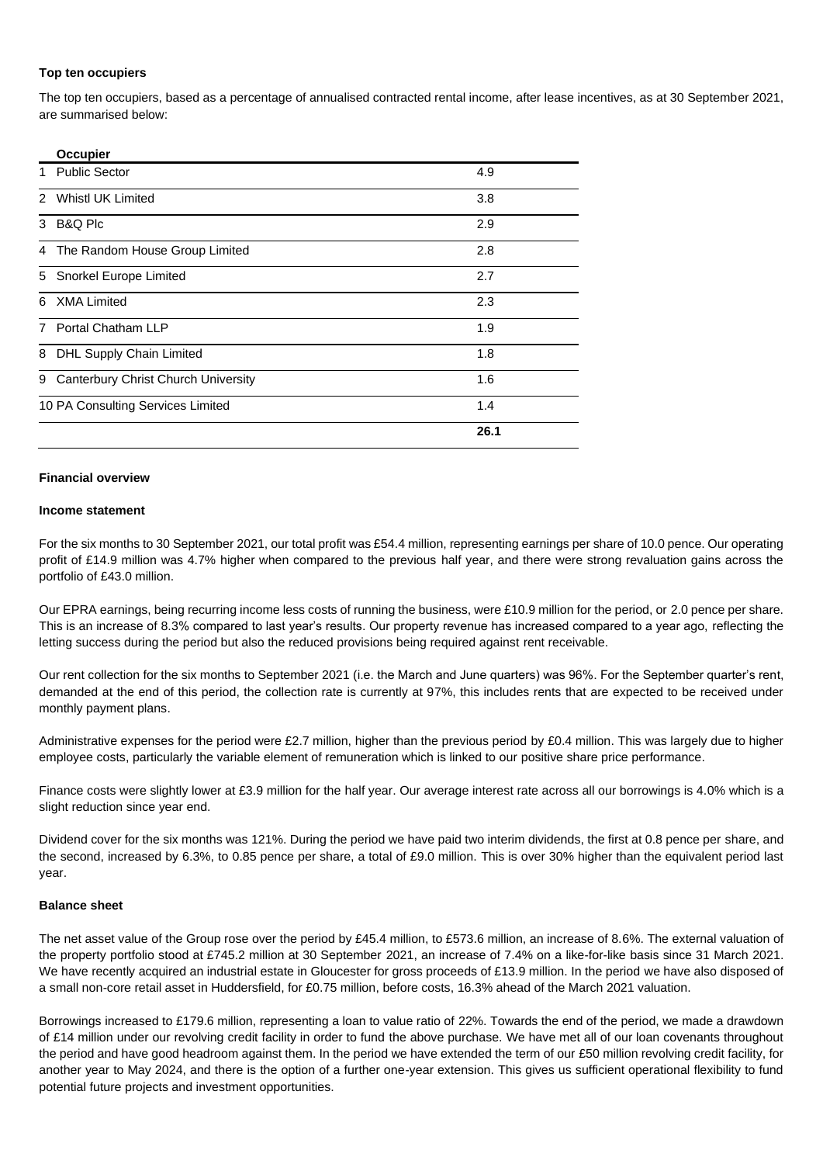#### **Top ten occupiers**

The top ten occupiers, based as a percentage of annualised contracted rental income, after lease incentives, as at 30 September 2021, are summarised below:

| 4.9  |
|------|
| 3.8  |
| 2.9  |
| 2.8  |
| 2.7  |
| 2.3  |
| 1.9  |
| 1.8  |
| 1.6  |
| 1.4  |
| 26.1 |
|      |

#### **Financial overview**

#### **Income statement**

For the six months to 30 September 2021, our total profit was £54.4 million, representing earnings per share of 10.0 pence. Our operating profit of £14.9 million was 4.7% higher when compared to the previous half year, and there were strong revaluation gains across the portfolio of £43.0 million.

Our EPRA earnings, being recurring income less costs of running the business, were £10.9 million for the period, or 2.0 pence per share. This is an increase of 8.3% compared to last year's results. Our property revenue has increased compared to a year ago, reflecting the letting success during the period but also the reduced provisions being required against rent receivable.

Our rent collection for the six months to September 2021 (i.e. the March and June quarters) was 96%. For the September quarter's rent, demanded at the end of this period, the collection rate is currently at 97%, this includes rents that are expected to be received under monthly payment plans.

Administrative expenses for the period were £2.7 million, higher than the previous period by £0.4 million. This was largely due to higher employee costs, particularly the variable element of remuneration which is linked to our positive share price performance.

Finance costs were slightly lower at £3.9 million for the half year. Our average interest rate across all our borrowings is 4.0% which is a slight reduction since year end.

Dividend cover for the six months was 121%. During the period we have paid two interim dividends, the first at 0.8 pence per share, and the second, increased by 6.3%, to 0.85 pence per share, a total of £9.0 million. This is over 30% higher than the equivalent period last year.

## **Balance sheet**

The net asset value of the Group rose over the period by £45.4 million, to £573.6 million, an increase of 8.6%. The external valuation of the property portfolio stood at £745.2 million at 30 September 2021, an increase of 7.4% on a like-for-like basis since 31 March 2021. We have recently acquired an industrial estate in Gloucester for gross proceeds of £13.9 million. In the period we have also disposed of a small non-core retail asset in Huddersfield, for £0.75 million, before costs, 16.3% ahead of the March 2021 valuation.

Borrowings increased to £179.6 million, representing a loan to value ratio of 22%. Towards the end of the period, we made a drawdown of £14 million under our revolving credit facility in order to fund the above purchase. We have met all of our loan covenants throughout the period and have good headroom against them. In the period we have extended the term of our £50 million revolving credit facility, for another year to May 2024, and there is the option of a further one-year extension. This gives us sufficient operational flexibility to fund potential future projects and investment opportunities.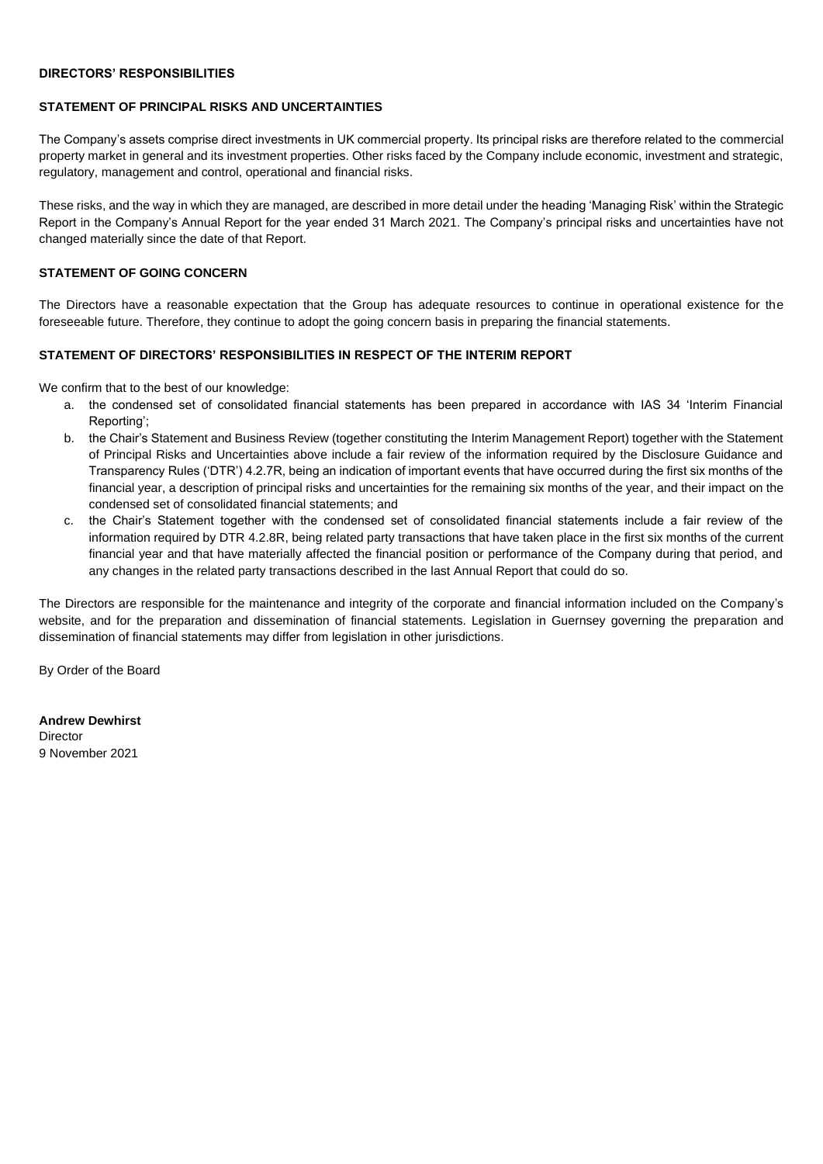#### **DIRECTORS' RESPONSIBILITIES**

#### **STATEMENT OF PRINCIPAL RISKS AND UNCERTAINTIES**

The Company's assets comprise direct investments in UK commercial property. Its principal risks are therefore related to the commercial property market in general and its investment properties. Other risks faced by the Company include economic, investment and strategic, regulatory, management and control, operational and financial risks.

These risks, and the way in which they are managed, are described in more detail under the heading 'Managing Risk' within the Strategic Report in the Company's Annual Report for the year ended 31 March 2021. The Company's principal risks and uncertainties have not changed materially since the date of that Report.

### **STATEMENT OF GOING CONCERN**

The Directors have a reasonable expectation that the Group has adequate resources to continue in operational existence for the foreseeable future. Therefore, they continue to adopt the going concern basis in preparing the financial statements.

## **STATEMENT OF DIRECTORS' RESPONSIBILITIES IN RESPECT OF THE INTERIM REPORT**

We confirm that to the best of our knowledge:

- a. the condensed set of consolidated financial statements has been prepared in accordance with IAS 34 'Interim Financial Reporting';
- b. the Chair's Statement and Business Review (together constituting the Interim Management Report) together with the Statement of Principal Risks and Uncertainties above include a fair review of the information required by the Disclosure Guidance and Transparency Rules ('DTR') 4.2.7R, being an indication of important events that have occurred during the first six months of the financial year, a description of principal risks and uncertainties for the remaining six months of the year, and their impact on the condensed set of consolidated financial statements; and
- c. the Chair's Statement together with the condensed set of consolidated financial statements include a fair review of the information required by DTR 4.2.8R, being related party transactions that have taken place in the first six months of the current financial year and that have materially affected the financial position or performance of the Company during that period, and any changes in the related party transactions described in the last Annual Report that could do so.

The Directors are responsible for the maintenance and integrity of the corporate and financial information included on the Company's website, and for the preparation and dissemination of financial statements. Legislation in Guernsey governing the preparation and dissemination of financial statements may differ from legislation in other jurisdictions.

By Order of the Board

**Andrew Dewhirst** Director 9 November 2021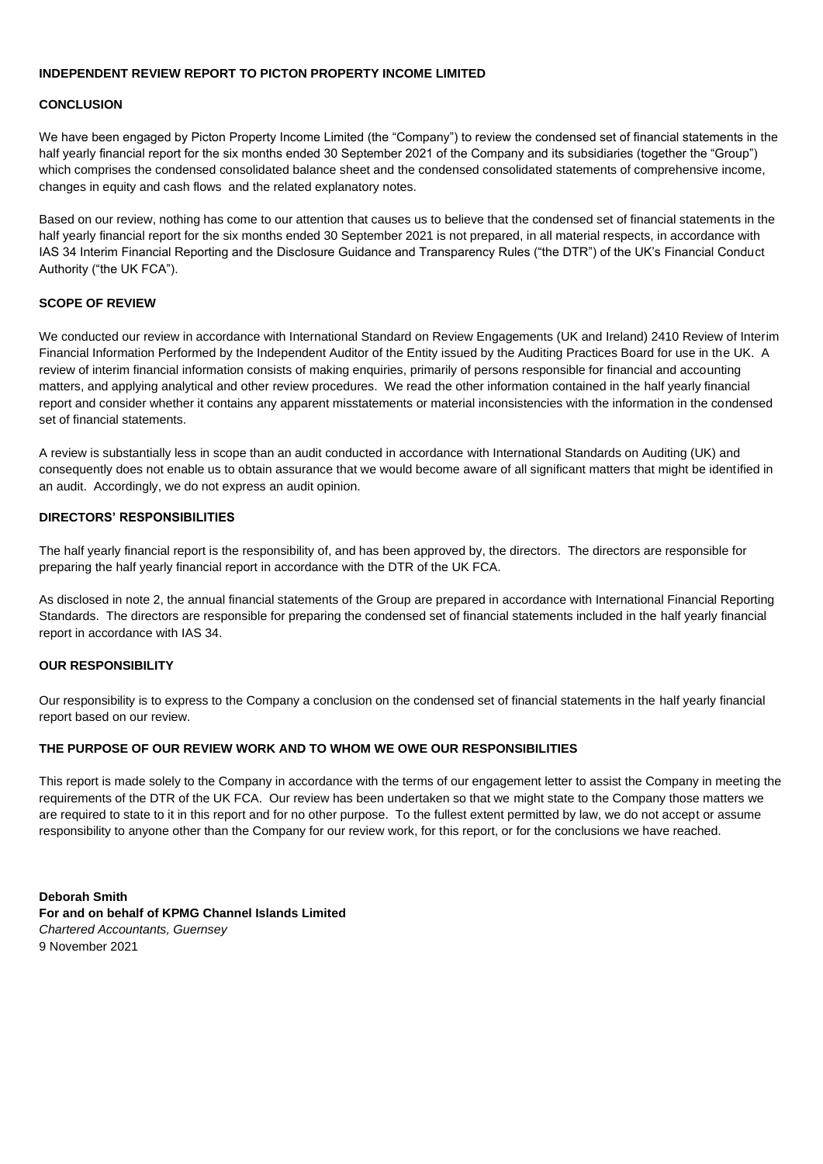#### **INDEPENDENT REVIEW REPORT TO PICTON PROPERTY INCOME LIMITED**

#### **CONCLUSION**

We have been engaged by Picton Property Income Limited (the "Company") to review the condensed set of financial statements in the half yearly financial report for the six months ended 30 September 2021 of the Company and its subsidiaries (together the "Group") which comprises the condensed consolidated balance sheet and the condensed consolidated statements of comprehensive income, changes in equity and cash flows and the related explanatory notes.

Based on our review, nothing has come to our attention that causes us to believe that the condensed set of financial statements in the half yearly financial report for the six months ended 30 September 2021 is not prepared, in all material respects, in accordance with IAS 34 Interim Financial Reporting and the Disclosure Guidance and Transparency Rules ("the DTR") of the UK's Financial Conduct Authority ("the UK FCA").

## **SCOPE OF REVIEW**

We conducted our review in accordance with International Standard on Review Engagements (UK and Ireland) 2410 Review of Interim Financial Information Performed by the Independent Auditor of the Entity issued by the Auditing Practices Board for use in the UK. A review of interim financial information consists of making enquiries, primarily of persons responsible for financial and accounting matters, and applying analytical and other review procedures. We read the other information contained in the half yearly financial report and consider whether it contains any apparent misstatements or material inconsistencies with the information in the condensed set of financial statements.

A review is substantially less in scope than an audit conducted in accordance with International Standards on Auditing (UK) and consequently does not enable us to obtain assurance that we would become aware of all significant matters that might be identified in an audit. Accordingly, we do not express an audit opinion.

## **DIRECTORS' RESPONSIBILITIES**

The half yearly financial report is the responsibility of, and has been approved by, the directors. The directors are responsible for preparing the half yearly financial report in accordance with the DTR of the UK FCA.

As disclosed in note 2, the annual financial statements of the Group are prepared in accordance with International Financial Reporting Standards. The directors are responsible for preparing the condensed set of financial statements included in the half yearly financial report in accordance with IAS 34.

### **OUR RESPONSIBILITY**

Our responsibility is to express to the Company a conclusion on the condensed set of financial statements in the half yearly financial report based on our review.

## **THE PURPOSE OF OUR REVIEW WORK AND TO WHOM WE OWE OUR RESPONSIBILITIES**

This report is made solely to the Company in accordance with the terms of our engagement letter to assist the Company in meeting the requirements of the DTR of the UK FCA. Our review has been undertaken so that we might state to the Company those matters we are required to state to it in this report and for no other purpose. To the fullest extent permitted by law, we do not accept or assume responsibility to anyone other than the Company for our review work, for this report, or for the conclusions we have reached.

**Deborah Smith For and on behalf of KPMG Channel Islands Limited** *Chartered Accountants, Guernsey* 9 November 2021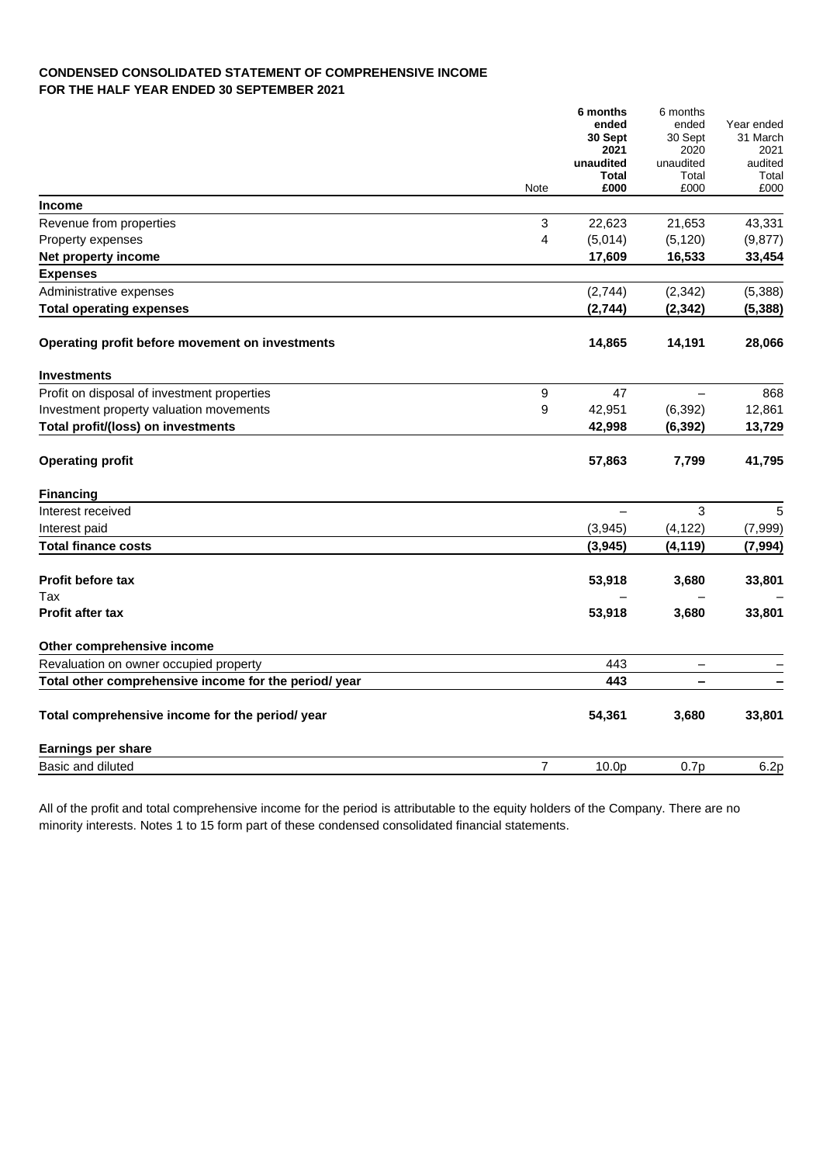## **CONDENSED CONSOLIDATED STATEMENT OF COMPREHENSIVE INCOME FOR THE HALF YEAR ENDED 30 SEPTEMBER 2021**

|                                                       |                | 6 months<br>ended<br>30 Sept<br>2021<br>unaudited<br><b>Total</b> | 6 months<br>ended<br>30 Sept<br>2020<br>unaudited<br>Total | Year ended<br>31 March<br>2021<br>audited<br>Total |
|-------------------------------------------------------|----------------|-------------------------------------------------------------------|------------------------------------------------------------|----------------------------------------------------|
|                                                       | Note           | £000                                                              | £000                                                       | £000                                               |
| <b>Income</b>                                         |                |                                                                   |                                                            |                                                    |
| Revenue from properties                               | 3              | 22,623                                                            | 21,653                                                     | 43,331                                             |
| Property expenses                                     | 4              | (5,014)                                                           | (5, 120)                                                   | (9, 877)                                           |
| Net property income                                   |                | 17,609                                                            | 16,533                                                     | 33,454                                             |
| <b>Expenses</b>                                       |                |                                                                   |                                                            |                                                    |
| Administrative expenses                               |                | (2,744)                                                           | (2, 342)                                                   | (5,388)                                            |
| <b>Total operating expenses</b>                       |                | (2,744)                                                           | (2, 342)                                                   | (5, 388)                                           |
| Operating profit before movement on investments       |                | 14,865                                                            | 14,191                                                     | 28,066                                             |
| <b>Investments</b>                                    |                |                                                                   |                                                            |                                                    |
| Profit on disposal of investment properties           | 9              | 47                                                                |                                                            | 868                                                |
| Investment property valuation movements               | 9              | 42,951                                                            | (6, 392)                                                   | 12,861                                             |
| Total profit/(loss) on investments                    |                | 42,998                                                            | (6, 392)                                                   | 13,729                                             |
| <b>Operating profit</b>                               |                | 57,863                                                            | 7,799                                                      | 41,795                                             |
| <b>Financing</b>                                      |                |                                                                   |                                                            |                                                    |
| Interest received                                     |                |                                                                   | 3                                                          | 5                                                  |
| Interest paid                                         |                | (3,945)                                                           | (4, 122)                                                   | (7,999)                                            |
| <b>Total finance costs</b>                            |                | (3,945)                                                           | (4, 119)                                                   | (7, 994)                                           |
| <b>Profit before tax</b>                              |                | 53,918                                                            | 3,680                                                      | 33,801                                             |
| Tax                                                   |                |                                                                   |                                                            |                                                    |
| <b>Profit after tax</b>                               |                | 53,918                                                            | 3,680                                                      | 33,801                                             |
| Other comprehensive income                            |                |                                                                   |                                                            |                                                    |
| Revaluation on owner occupied property                |                | 443                                                               | $\overline{\phantom{m}}$                                   |                                                    |
| Total other comprehensive income for the period/ year |                | 443                                                               | -                                                          |                                                    |
| Total comprehensive income for the period/ year       |                | 54,361                                                            | 3,680                                                      | 33,801                                             |
| <b>Earnings per share</b>                             |                |                                                                   |                                                            |                                                    |
| Basic and diluted                                     | $\overline{7}$ | 10.0p                                                             | 0.7p                                                       | 6.2p                                               |

All of the profit and total comprehensive income for the period is attributable to the equity holders of the Company. There are no minority interests. Notes 1 to 15 form part of these condensed consolidated financial statements.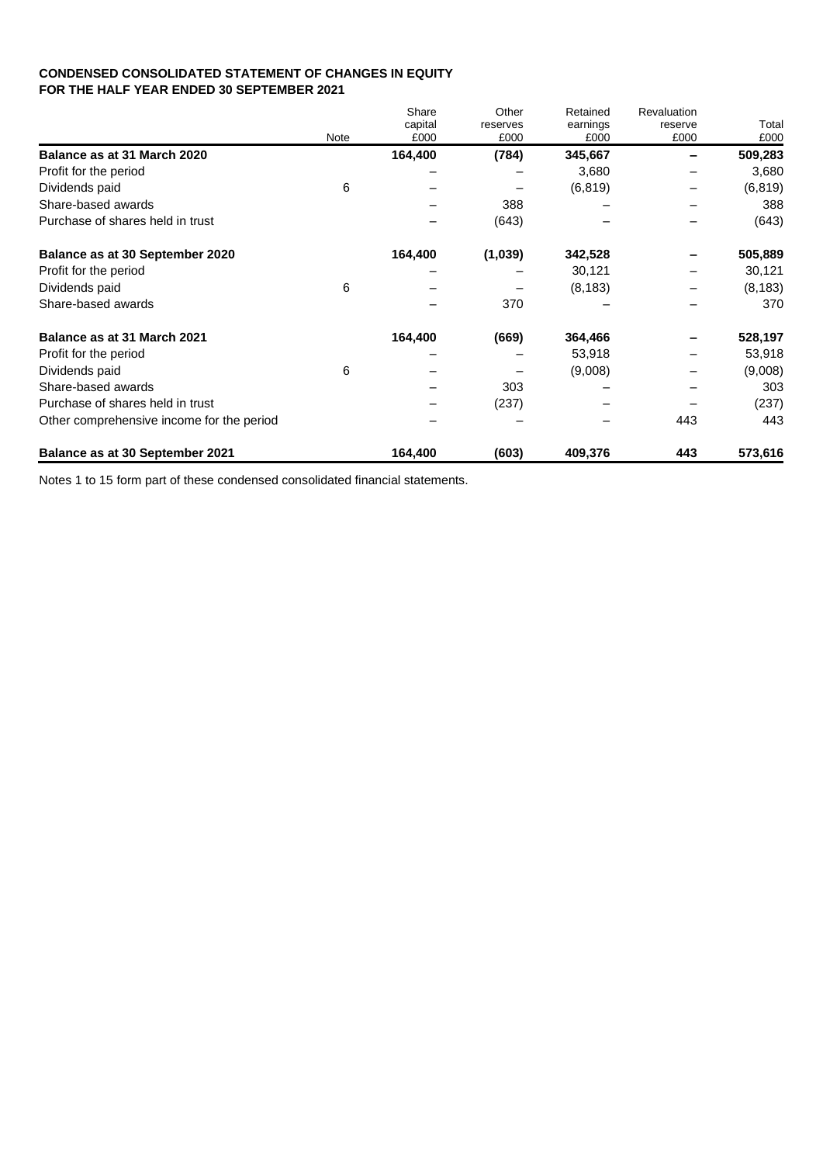## **CONDENSED CONSOLIDATED STATEMENT OF CHANGES IN EQUITY FOR THE HALF YEAR ENDED 30 SEPTEMBER 2021**

|                                           | <b>Note</b> | Share<br>capital<br>£000 | Other<br>reserves<br>£000 | Retained<br>earnings<br>£000 | Revaluation<br>reserve<br>£000 | Total<br>£000 |
|-------------------------------------------|-------------|--------------------------|---------------------------|------------------------------|--------------------------------|---------------|
| Balance as at 31 March 2020               |             | 164,400                  | (784)                     | 345,667                      |                                | 509,283       |
| Profit for the period                     |             |                          |                           | 3,680                        |                                | 3,680         |
| Dividends paid                            | 6           |                          |                           | (6, 819)                     |                                | (6, 819)      |
| Share-based awards                        |             |                          | 388                       |                              |                                | 388           |
| Purchase of shares held in trust          |             |                          | (643)                     |                              |                                | (643)         |
| Balance as at 30 September 2020           |             | 164,400                  | (1,039)                   | 342,528                      |                                | 505,889       |
| Profit for the period                     |             |                          |                           | 30,121                       |                                | 30,121        |
| Dividends paid                            | 6           |                          |                           | (8, 183)                     |                                | (8, 183)      |
| Share-based awards                        |             |                          | 370                       |                              |                                | 370           |
| Balance as at 31 March 2021               |             | 164,400                  | (669)                     | 364,466                      |                                | 528,197       |
| Profit for the period                     |             |                          |                           | 53,918                       |                                | 53,918        |
| Dividends paid                            | 6           |                          |                           | (9,008)                      |                                | (9,008)       |
| Share-based awards                        |             |                          | 303                       |                              |                                | 303           |
| Purchase of shares held in trust          |             |                          | (237)                     |                              |                                | (237)         |
| Other comprehensive income for the period |             |                          |                           |                              | 443                            | 443           |
| Balance as at 30 September 2021           |             | 164,400                  | (603)                     | 409,376                      | 443                            | 573,616       |

Notes 1 to 15 form part of these condensed consolidated financial statements.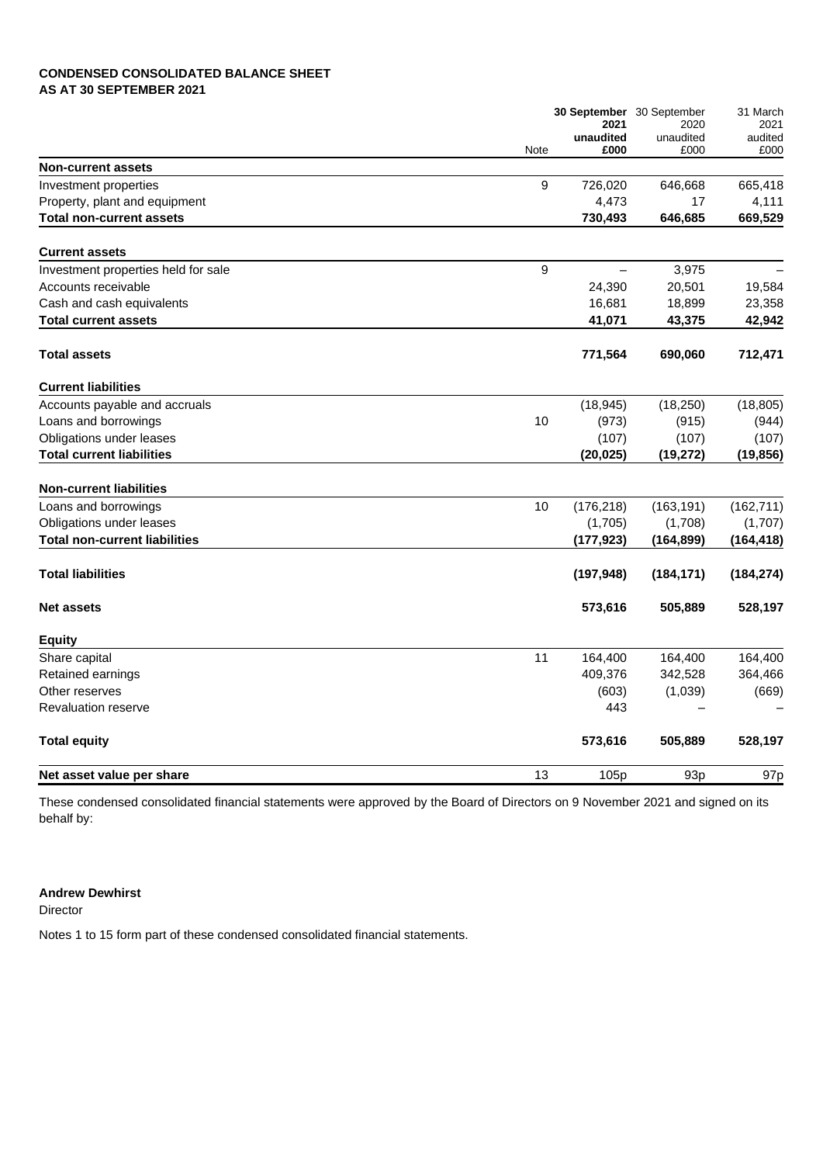## **CONDENSED CONSOLIDATED BALANCE SHEET AS AT 30 SEPTEMBER 2021**

|                                      |      | 2021<br>unaudited | 30 September 30 September<br>2020<br>unaudited | 31 March<br>2021<br>audited |
|--------------------------------------|------|-------------------|------------------------------------------------|-----------------------------|
| <b>Non-current assets</b>            | Note | £000              | £000                                           | £000                        |
| Investment properties                | 9    | 726,020           | 646,668                                        | 665,418                     |
| Property, plant and equipment        |      | 4,473             | 17                                             | 4,111                       |
| <b>Total non-current assets</b>      |      | 730,493           | 646,685                                        | 669,529                     |
| <b>Current assets</b>                |      |                   |                                                |                             |
| Investment properties held for sale  | 9    | $\equiv$          | 3,975                                          |                             |
| Accounts receivable                  |      | 24,390            | 20,501                                         | 19,584                      |
| Cash and cash equivalents            |      | 16,681            | 18,899                                         | 23,358                      |
| <b>Total current assets</b>          |      | 41,071            | 43,375                                         | 42,942                      |
| <b>Total assets</b>                  |      | 771,564           | 690,060                                        | 712,471                     |
| <b>Current liabilities</b>           |      |                   |                                                |                             |
| Accounts payable and accruals        |      | (18, 945)         | (18, 250)                                      | (18, 805)                   |
| Loans and borrowings                 | 10   | (973)             | (915)                                          | (944)                       |
| Obligations under leases             |      | (107)             | (107)                                          | (107)                       |
| <b>Total current liabilities</b>     |      | (20, 025)         | (19, 272)                                      | (19, 856)                   |
| <b>Non-current liabilities</b>       |      |                   |                                                |                             |
| Loans and borrowings                 | 10   | (176, 218)        | (163, 191)                                     | (162, 711)                  |
| Obligations under leases             |      | (1,705)           | (1,708)                                        | (1,707)                     |
| <b>Total non-current liabilities</b> |      | (177, 923)        | (164, 899)                                     | (164, 418)                  |
| <b>Total liabilities</b>             |      | (197, 948)        | (184, 171)                                     | (184, 274)                  |
| <b>Net assets</b>                    |      | 573,616           | 505,889                                        | 528,197                     |
| <b>Equity</b>                        |      |                   |                                                |                             |
| Share capital                        | 11   | 164,400           | 164,400                                        | 164,400                     |
| Retained earnings                    |      | 409,376           | 342,528                                        | 364,466                     |
| Other reserves                       |      | (603)             | (1,039)                                        | (669)                       |
| <b>Revaluation reserve</b>           |      | 443               |                                                |                             |
| <b>Total equity</b>                  |      | 573,616           | 505,889                                        | 528,197                     |
| Net asset value per share            | 13   | 105p              | 93 <sub>p</sub>                                | 97 <sub>p</sub>             |

These condensed consolidated financial statements were approved by the Board of Directors on 9 November 2021 and signed on its behalf by:

## **Andrew Dewhirst**

Director

Notes 1 to 15 form part of these condensed consolidated financial statements.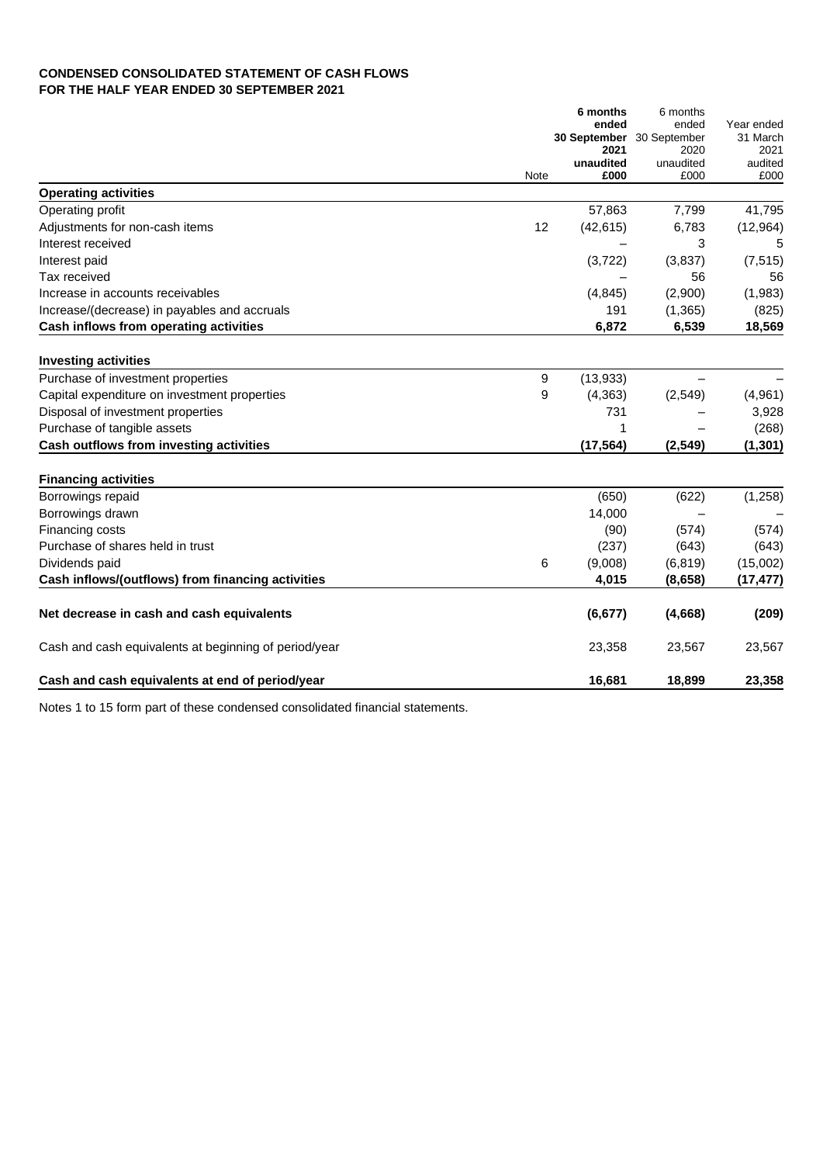## **CONDENSED CONSOLIDATED STATEMENT OF CASH FLOWS FOR THE HALF YEAR ENDED 30 SEPTEMBER 2021**

|                                                       |      | 6 months             | 6 months             |                  |
|-------------------------------------------------------|------|----------------------|----------------------|------------------|
|                                                       |      | ended                | ended                | Year ended       |
|                                                       |      | 30 September<br>2021 | 30 September<br>2020 | 31 March<br>2021 |
|                                                       |      | unaudited            | unaudited            | audited          |
|                                                       | Note | £000                 | £000                 | £000             |
| <b>Operating activities</b>                           |      |                      |                      |                  |
| Operating profit                                      |      | 57,863               | 7,799                | 41,795           |
| Adjustments for non-cash items                        | 12   | (42, 615)            | 6,783                | (12, 964)        |
| Interest received                                     |      |                      | 3                    | 5                |
| Interest paid                                         |      | (3, 722)             | (3,837)              | (7, 515)         |
| Tax received                                          |      |                      | 56                   | 56               |
| Increase in accounts receivables                      |      | (4, 845)             | (2,900)              | (1,983)          |
| Increase/(decrease) in payables and accruals          |      | 191                  | (1, 365)             | (825)            |
| Cash inflows from operating activities                |      | 6,872                | 6,539                | 18,569           |
|                                                       |      |                      |                      |                  |
| <b>Investing activities</b>                           |      |                      |                      |                  |
| Purchase of investment properties                     | 9    | (13, 933)            |                      |                  |
| Capital expenditure on investment properties          | 9    | (4, 363)             | (2, 549)             | (4,961)          |
| Disposal of investment properties                     |      | 731                  |                      | 3,928            |
| Purchase of tangible assets                           |      | 1                    |                      | (268)            |
| Cash outflows from investing activities               |      | (17, 564)            | (2, 549)             | (1, 301)         |
| <b>Financing activities</b>                           |      |                      |                      |                  |
| Borrowings repaid                                     |      | (650)                | (622)                | (1,258)          |
| Borrowings drawn                                      |      | 14,000               |                      |                  |
| Financing costs                                       |      | (90)                 | (574)                | (574)            |
| Purchase of shares held in trust                      |      | (237)                | (643)                | (643)            |
| Dividends paid                                        | 6    | (9,008)              | (6, 819)             | (15,002)         |
| Cash inflows/(outflows) from financing activities     |      | 4,015                | (8,658)              | (17, 477)        |
| Net decrease in cash and cash equivalents             |      | (6, 677)             | (4,668)              | (209)            |
| Cash and cash equivalents at beginning of period/year |      | 23,358               | 23,567               | 23,567           |
| Cash and cash equivalents at end of period/year       |      | 16,681               | 18,899               | 23,358           |

Notes 1 to 15 form part of these condensed consolidated financial statements.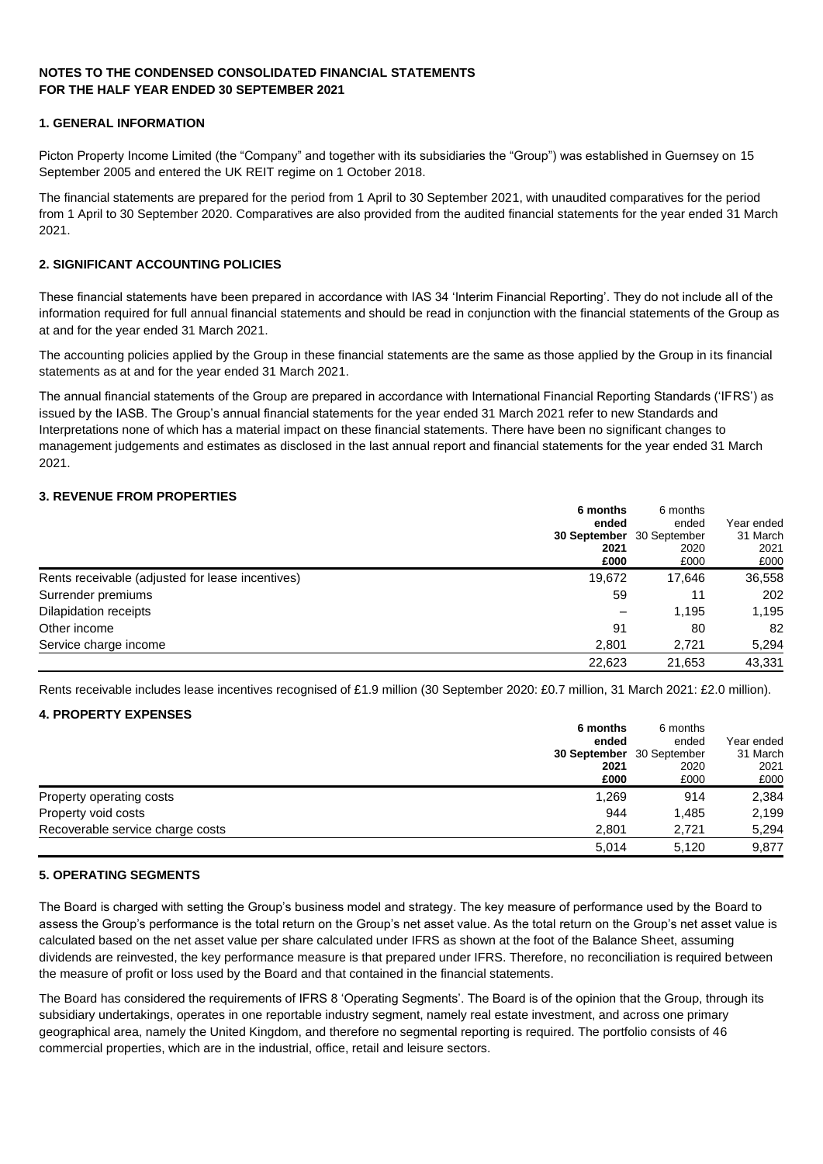## **NOTES TO THE CONDENSED CONSOLIDATED FINANCIAL STATEMENTS FOR THE HALF YEAR ENDED 30 SEPTEMBER 2021**

## **1. GENERAL INFORMATION**

Picton Property Income Limited (the "Company" and together with its subsidiaries the "Group") was established in Guernsey on 15 September 2005 and entered the UK REIT regime on 1 October 2018.

The financial statements are prepared for the period from 1 April to 30 September 2021, with unaudited comparatives for the period from 1 April to 30 September 2020. Comparatives are also provided from the audited financial statements for the year ended 31 March 2021.

## **2. SIGNIFICANT ACCOUNTING POLICIES**

These financial statements have been prepared in accordance with IAS 34 'Interim Financial Reporting'. They do not include all of the information required for full annual financial statements and should be read in conjunction with the financial statements of the Group as at and for the year ended 31 March 2021.

The accounting policies applied by the Group in these financial statements are the same as those applied by the Group in its financial statements as at and for the year ended 31 March 2021.

The annual financial statements of the Group are prepared in accordance with International Financial Reporting Standards ('IFRS') as issued by the IASB. The Group's annual financial statements for the year ended 31 March 2021 refer to new Standards and Interpretations none of which has a material impact on these financial statements. There have been no significant changes to management judgements and estimates as disclosed in the last annual report and financial statements for the year ended 31 March 2021.

## **3. REVENUE FROM PROPERTIES**

|                                                  | 6 months<br>ended<br>2021<br>£000 | 6 months<br>ended<br><b>30 September</b> 30 September<br>2020<br>£000 | Year ended<br>31 March<br>2021<br>£000 |
|--------------------------------------------------|-----------------------------------|-----------------------------------------------------------------------|----------------------------------------|
| Rents receivable (adjusted for lease incentives) | 19,672                            | 17,646                                                                | 36,558                                 |
| Surrender premiums                               | 59                                | 11                                                                    | 202                                    |
| Dilapidation receipts                            | $\overline{\phantom{0}}$          | 1,195                                                                 | 1,195                                  |
| Other income                                     | 91                                | 80                                                                    | 82                                     |
| Service charge income                            | 2,801                             | 2.721                                                                 | 5,294                                  |
|                                                  | 22,623                            | 21,653                                                                | 43.331                                 |

Rents receivable includes lease incentives recognised of £1.9 million (30 September 2020: £0.7 million, 31 March 2021: £2.0 million).

## **4. PROPERTY EXPENSES**

|                                  | 6 months                  | 6 months |            |
|----------------------------------|---------------------------|----------|------------|
|                                  | ended                     | ended    | Year ended |
|                                  | 30 September 30 September |          | 31 March   |
|                                  | 2021                      | 2020     | 2021       |
|                                  | £000                      | £000     | £000       |
| Property operating costs         | 1,269                     | 914      | 2,384      |
| Property void costs              | 944                       | 1,485    | 2,199      |
| Recoverable service charge costs | 2.801                     | 2.721    | 5,294      |
|                                  | 5.014                     | 5.120    | 9.877      |

## **5. OPERATING SEGMENTS**

The Board is charged with setting the Group's business model and strategy. The key measure of performance used by the Board to assess the Group's performance is the total return on the Group's net asset value. As the total return on the Group's net asset value is calculated based on the net asset value per share calculated under IFRS as shown at the foot of the Balance Sheet, assuming dividends are reinvested, the key performance measure is that prepared under IFRS. Therefore, no reconciliation is required between the measure of profit or loss used by the Board and that contained in the financial statements.

The Board has considered the requirements of IFRS 8 'Operating Segments'. The Board is of the opinion that the Group, through its subsidiary undertakings, operates in one reportable industry segment, namely real estate investment, and across one primary geographical area, namely the United Kingdom, and therefore no segmental reporting is required. The portfolio consists of 46 commercial properties, which are in the industrial, office, retail and leisure sectors.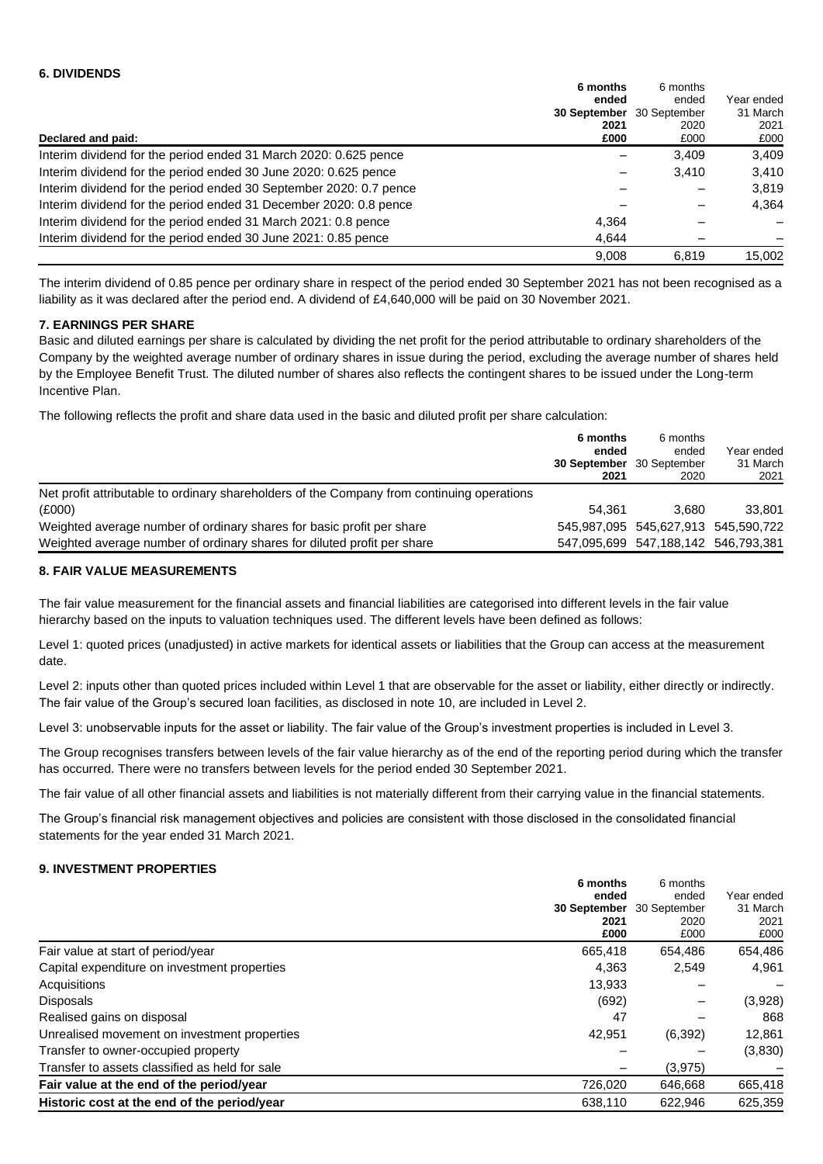|                                                                    | 6 months<br>ended    | 6 months<br>ended    | Year ended       |
|--------------------------------------------------------------------|----------------------|----------------------|------------------|
|                                                                    | 30 September<br>2021 | 30 September<br>2020 | 31 March<br>2021 |
| Declared and paid:                                                 | £000                 | £000                 | £000             |
| Interim dividend for the period ended 31 March 2020: 0.625 pence   |                      | 3,409                | 3,409            |
| Interim dividend for the period ended 30 June 2020: 0.625 pence    |                      | 3.410                | 3.410            |
| Interim dividend for the period ended 30 September 2020: 0.7 pence |                      |                      | 3,819            |
| Interim dividend for the period ended 31 December 2020: 0.8 pence  |                      |                      | 4,364            |
| Interim dividend for the period ended 31 March 2021: 0.8 pence     | 4,364                |                      |                  |
| Interim dividend for the period ended 30 June 2021: 0.85 pence     | 4,644                |                      |                  |
|                                                                    | 9.008                | 6.819                | 15.002           |

The interim dividend of 0.85 pence per ordinary share in respect of the period ended 30 September 2021 has not been recognised as a liability as it was declared after the period end. A dividend of £4,640,000 will be paid on 30 November 2021.

## **7. EARNINGS PER SHARE**

Basic and diluted earnings per share is calculated by dividing the net profit for the period attributable to ordinary shareholders of the Company by the weighted average number of ordinary shares in issue during the period, excluding the average number of shares held by the Employee Benefit Trust. The diluted number of shares also reflects the contingent shares to be issued under the Long-term Incentive Plan.

The following reflects the profit and share data used in the basic and diluted profit per share calculation:

|                                                                                            | 6 months<br>ended<br><b>30 September</b> 30 September<br>2021 | 6 months<br>ended<br>2020           | Year ended<br>31 March<br>2021 |
|--------------------------------------------------------------------------------------------|---------------------------------------------------------------|-------------------------------------|--------------------------------|
| Net profit attributable to ordinary shareholders of the Company from continuing operations |                                                               |                                     |                                |
| (E000)                                                                                     | 54.361                                                        | 3.680                               | 33,801                         |
| Weighted average number of ordinary shares for basic profit per share                      |                                                               | 545,987,095 545,627,913 545,590,722 |                                |
| Weighted average number of ordinary shares for diluted profit per share                    |                                                               | 547,095,699 547,188,142 546,793,381 |                                |

## **8. FAIR VALUE MEASUREMENTS**

The fair value measurement for the financial assets and financial liabilities are categorised into different levels in the fair value hierarchy based on the inputs to valuation techniques used. The different levels have been defined as follows:

Level 1: quoted prices (unadjusted) in active markets for identical assets or liabilities that the Group can access at the measurement date.

Level 2: inputs other than quoted prices included within Level 1 that are observable for the asset or liability, either directly or indirectly. The fair value of the Group's secured loan facilities, as disclosed in note 10, are included in Level 2.

Level 3: unobservable inputs for the asset or liability. The fair value of the Group's investment properties is included in Level 3.

The Group recognises transfers between levels of the fair value hierarchy as of the end of the reporting period during which the transfer has occurred. There were no transfers between levels for the period ended 30 September 2021.

The fair value of all other financial assets and liabilities is not materially different from their carrying value in the financial statements.

The Group's financial risk management objectives and policies are consistent with those disclosed in the consolidated financial statements for the year ended 31 March 2021.

#### **9. INVESTMENT PROPERTIES**

|                                                | 6 months     | 6 months<br>ended<br>30 September<br>2020<br>£000 | Year ended<br>31 March<br>2021<br>£000 |
|------------------------------------------------|--------------|---------------------------------------------------|----------------------------------------|
|                                                | ended        |                                                   |                                        |
|                                                | 30 September |                                                   |                                        |
|                                                | 2021<br>£000 |                                                   |                                        |
|                                                |              |                                                   |                                        |
| Fair value at start of period/year             | 665,418      | 654,486                                           | 654,486                                |
| Capital expenditure on investment properties   | 4,363        | 2,549                                             | 4,961                                  |
| Acquisitions                                   | 13,933       |                                                   |                                        |
| <b>Disposals</b>                               | (692)        |                                                   | (3,928)                                |
| Realised gains on disposal                     | 47           |                                                   | 868                                    |
| Unrealised movement on investment properties   | 42,951       | (6,392)                                           | 12,861                                 |
| Transfer to owner-occupied property            |              |                                                   | (3,830)                                |
| Transfer to assets classified as held for sale |              | (3,975)                                           |                                        |
| Fair value at the end of the period/year       | 726.020      | 646.668                                           | 665,418                                |
| Historic cost at the end of the period/year    | 638.110      | 622.946                                           | 625.359                                |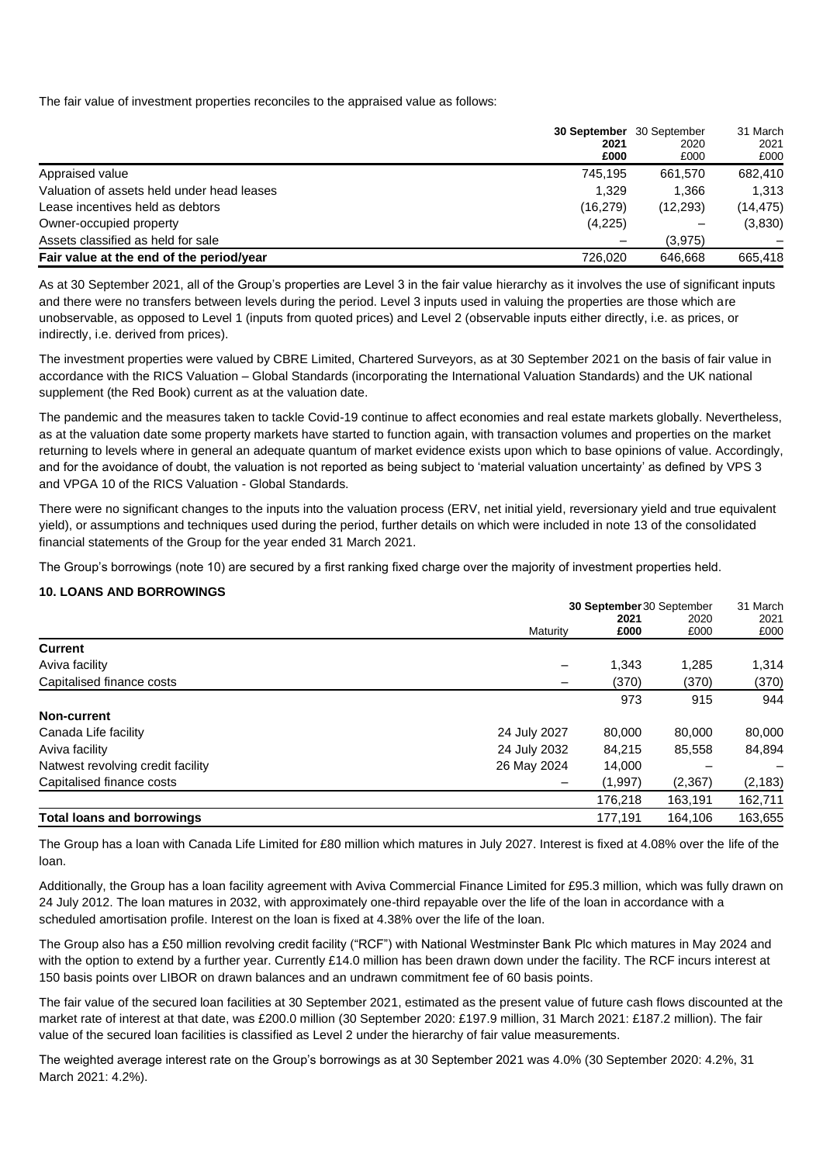The fair value of investment properties reconciles to the appraised value as follows:

|                                            |              | 30 September 30 September<br>2020<br>£000 | 31 March<br>2021<br>£000 |
|--------------------------------------------|--------------|-------------------------------------------|--------------------------|
|                                            | 2021<br>£000 |                                           |                          |
| Appraised value                            | 745.195      | 661.570                                   | 682,410                  |
| Valuation of assets held under head leases | 1.329        | 1.366                                     | 1,313                    |
| Lease incentives held as debtors           | (16, 279)    | (12, 293)                                 | (14, 475)                |
| Owner-occupied property                    | (4,225)      |                                           | (3,830)                  |
| Assets classified as held for sale         |              | (3,975)                                   |                          |
| Fair value at the end of the period/year   | 726.020      | 646.668                                   | 665,418                  |

As at 30 September 2021, all of the Group's properties are Level 3 in the fair value hierarchy as it involves the use of significant inputs and there were no transfers between levels during the period. Level 3 inputs used in valuing the properties are those which are unobservable, as opposed to Level 1 (inputs from quoted prices) and Level 2 (observable inputs either directly, i.e. as prices, or indirectly, i.e. derived from prices).

The investment properties were valued by CBRE Limited, Chartered Surveyors, as at 30 September 2021 on the basis of fair value in accordance with the RICS Valuation – Global Standards (incorporating the International Valuation Standards) and the UK national supplement (the Red Book) current as at the valuation date.

The pandemic and the measures taken to tackle Covid-19 continue to affect economies and real estate markets globally. Nevertheless, as at the valuation date some property markets have started to function again, with transaction volumes and properties on the market returning to levels where in general an adequate quantum of market evidence exists upon which to base opinions of value. Accordingly, and for the avoidance of doubt, the valuation is not reported as being subject to 'material valuation uncertainty' as defined by VPS 3 and VPGA 10 of the RICS Valuation - Global Standards.

There were no significant changes to the inputs into the valuation process (ERV, net initial yield, reversionary yield and true equivalent yield), or assumptions and techniques used during the period, further details on which were included in note 13 of the consolidated financial statements of the Group for the year ended 31 March 2021.

The Group's borrowings (note 10) are secured by a first ranking fixed charge over the majority of investment properties held.

## **10. LOANS AND BORROWINGS**

|                                   | 30 September 30 September |         |         | 31 March |
|-----------------------------------|---------------------------|---------|---------|----------|
|                                   |                           | 2021    | 2020    | 2021     |
|                                   | Maturity                  | £000    | £000    | £000     |
| <b>Current</b>                    |                           |         |         |          |
| Aviva facility                    |                           | 1,343   | 1,285   | 1,314    |
| Capitalised finance costs         |                           | (370)   | (370)   | (370)    |
|                                   |                           | 973     | 915     | 944      |
| Non-current                       |                           |         |         |          |
| Canada Life facility              | 24 July 2027              | 80,000  | 80,000  | 80,000   |
| Aviva facility                    | 24 July 2032              | 84.215  | 85,558  | 84,894   |
| Natwest revolving credit facility | 26 May 2024               | 14,000  |         |          |
| Capitalised finance costs         |                           | (1,997) | (2,367) | (2, 183) |
|                                   |                           | 176,218 | 163,191 | 162,711  |
| <b>Total loans and borrowings</b> |                           | 177.191 | 164,106 | 163,655  |

The Group has a loan with Canada Life Limited for £80 million which matures in July 2027. Interest is fixed at 4.08% over the life of the loan.

Additionally, the Group has a loan facility agreement with Aviva Commercial Finance Limited for £95.3 million, which was fully drawn on 24 July 2012. The loan matures in 2032, with approximately one-third repayable over the life of the loan in accordance with a scheduled amortisation profile. Interest on the loan is fixed at 4.38% over the life of the loan.

The Group also has a £50 million revolving credit facility ("RCF") with National Westminster Bank Plc which matures in May 2024 and with the option to extend by a further year. Currently £14.0 million has been drawn down under the facility. The RCF incurs interest at 150 basis points over LIBOR on drawn balances and an undrawn commitment fee of 60 basis points.

The fair value of the secured loan facilities at 30 September 2021, estimated as the present value of future cash flows discounted at the market rate of interest at that date, was £200.0 million (30 September 2020: £197.9 million, 31 March 2021: £187.2 million). The fair value of the secured loan facilities is classified as Level 2 under the hierarchy of fair value measurements.

The weighted average interest rate on the Group's borrowings as at 30 September 2021 was 4.0% (30 September 2020: 4.2%, 31 March 2021: 4.2%).